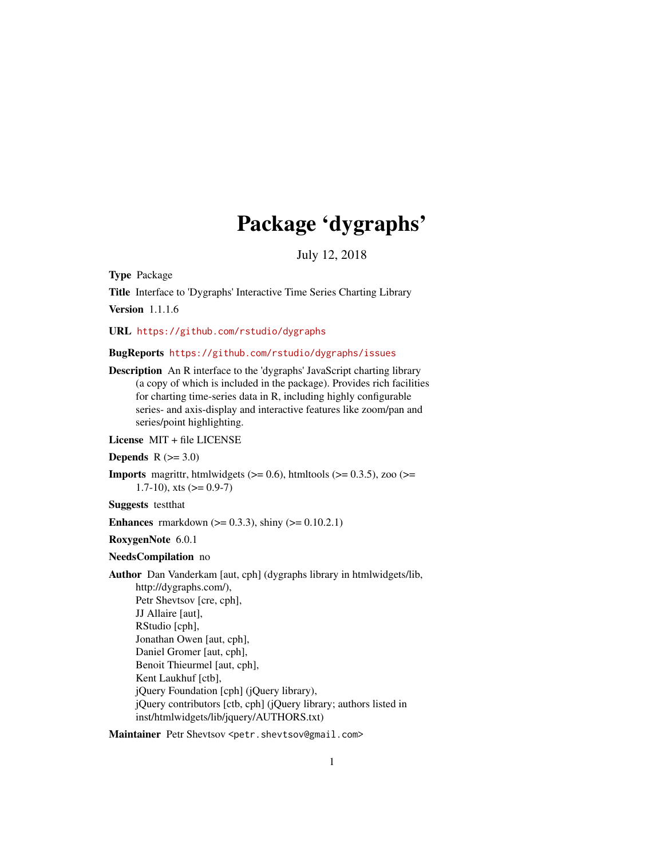# Package 'dygraphs'

July 12, 2018

<span id="page-0-0"></span>Type Package

Title Interface to 'Dygraphs' Interactive Time Series Charting Library Version 1.1.1.6

URL <https://github.com/rstudio/dygraphs>

# BugReports <https://github.com/rstudio/dygraphs/issues>

Description An R interface to the 'dygraphs' JavaScript charting library (a copy of which is included in the package). Provides rich facilities for charting time-series data in R, including highly configurable series- and axis-display and interactive features like zoom/pan and series/point highlighting.

License MIT + file LICENSE

#### Depends  $R$  ( $>= 3.0$ )

**Imports** magnittr, htmlwidgets ( $>= 0.6$ ), htmltools ( $>= 0.3.5$ ), zoo ( $>=$ 1.7-10), xts  $(>= 0.9-7)$ 

Suggests testthat

**Enhances** rmarkdown ( $> = 0.3.3$ ), shiny ( $> = 0.10.2.1$ )

RoxygenNote 6.0.1

#### NeedsCompilation no

Author Dan Vanderkam [aut, cph] (dygraphs library in htmlwidgets/lib, http://dygraphs.com/), Petr Shevtsov [cre, cph], JJ Allaire [aut], RStudio [cph], Jonathan Owen [aut, cph], Daniel Gromer [aut, cph], Benoit Thieurmel [aut, cph], Kent Laukhuf [ctb], jQuery Foundation [cph] (jQuery library), jQuery contributors [ctb, cph] (jQuery library; authors listed in inst/htmlwidgets/lib/jquery/AUTHORS.txt)

Maintainer Petr Shevtsov <petr.shevtsov@gmail.com>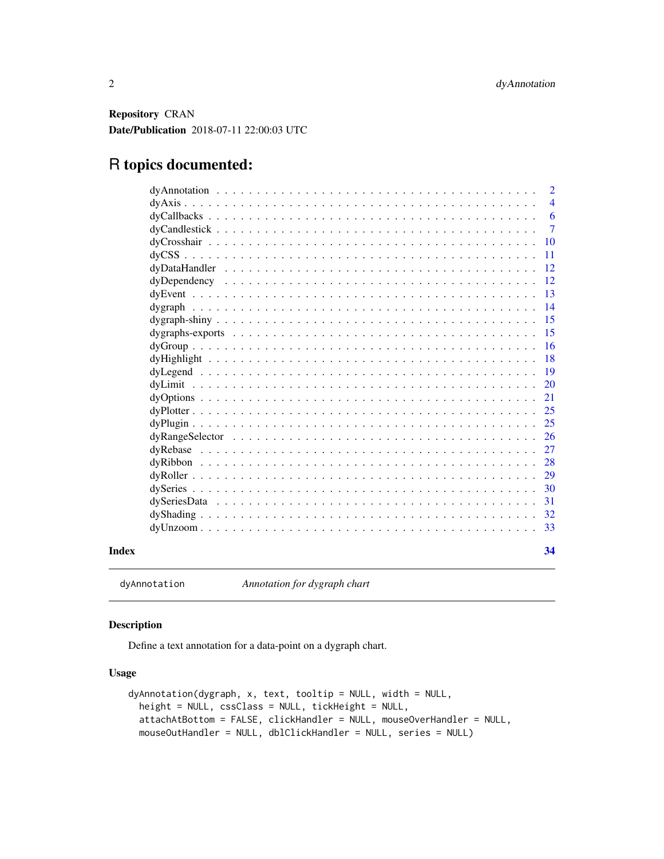<span id="page-1-0"></span>Repository CRAN Date/Publication 2018-07-11 22:00:03 UTC

# R topics documented:

|       | $\overline{2}$                                                                                                                                               |
|-------|--------------------------------------------------------------------------------------------------------------------------------------------------------------|
|       | $\overline{4}$                                                                                                                                               |
|       | 6                                                                                                                                                            |
|       | $\tau$                                                                                                                                                       |
|       | <b>10</b>                                                                                                                                                    |
|       | 11                                                                                                                                                           |
|       | 12                                                                                                                                                           |
|       | 12                                                                                                                                                           |
|       | 13                                                                                                                                                           |
|       | 14                                                                                                                                                           |
|       | 15                                                                                                                                                           |
|       | 15                                                                                                                                                           |
|       | 16                                                                                                                                                           |
|       | 18                                                                                                                                                           |
|       | 19                                                                                                                                                           |
|       | 20                                                                                                                                                           |
|       | 21<br>$\text{dyOptions} \dots \dots \dots \dots \dots \dots \dots \dots \dots \dots \dots \dots \dots \dots \dots \dots \dots \dots$                         |
|       | 25                                                                                                                                                           |
|       | 25                                                                                                                                                           |
|       | 26<br>$dyRangeSelect$ $\ldots$ $\ldots$ $\ldots$ $\ldots$ $\ldots$ $\ldots$ $\ldots$ $\ldots$ $\ldots$ $\ldots$ $\ldots$ $\ldots$ $\ldots$ $\ldots$ $\ldots$ |
|       | 27                                                                                                                                                           |
|       | 28                                                                                                                                                           |
|       | 29                                                                                                                                                           |
|       | 30                                                                                                                                                           |
|       | 31                                                                                                                                                           |
|       | 32                                                                                                                                                           |
|       | 33<br>$dyUnzoom \dots \dots \dots \dots \dots \dots \dots \dots \dots \dots \dots \dots \dots \dots \dots \dots \dots \dots$                                 |
| Index | 34                                                                                                                                                           |

dyAnnotation *Annotation for dygraph chart*

# Description

Define a text annotation for a data-point on a dygraph chart.

# Usage

```
dyAnnotation(dygraph, x, text, tooltip = NULL, width = NULL,
 height = NULL, cssClass = NULL, tickHeight = NULL,
 attachAtBottom = FALSE, clickHandler = NULL, mouseOverHandler = NULL,
 mouseOutHandler = NULL, dblClickHandler = NULL, series = NULL)
```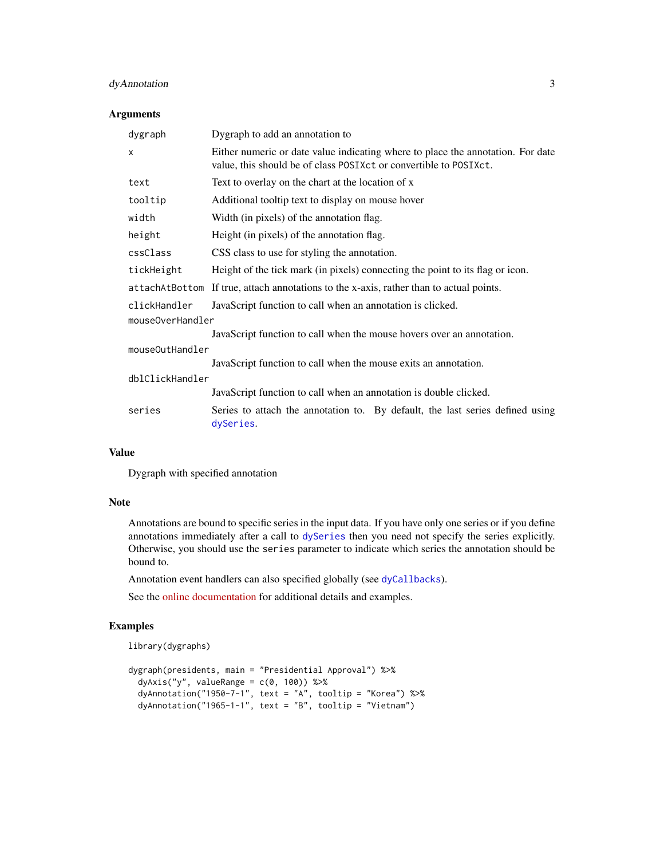# <span id="page-2-0"></span>dyAnnotation 3

#### Arguments

| dygraph          | Dygraph to add an annotation to                                                                                                                      |  |
|------------------|------------------------------------------------------------------------------------------------------------------------------------------------------|--|
| X                | Either numeric or date value indicating where to place the annotation. For date<br>value, this should be of class POSIXct or convertible to POSIXct. |  |
| text             | Text to overlay on the chart at the location of x                                                                                                    |  |
| tooltip          | Additional tooltip text to display on mouse hover                                                                                                    |  |
| width            | Width (in pixels) of the annotation flag.                                                                                                            |  |
| height           | Height (in pixels) of the annotation flag.                                                                                                           |  |
| cssClass         | CSS class to use for styling the annotation.                                                                                                         |  |
| tickHeight       | Height of the tick mark (in pixels) connecting the point to its flag or icon.                                                                        |  |
|                  | attachAtBottom If true, attach annotations to the x-axis, rather than to actual points.                                                              |  |
| clickHandler     | JavaScript function to call when an annotation is clicked.                                                                                           |  |
| mouseOverHandler |                                                                                                                                                      |  |
|                  | JavaScript function to call when the mouse hovers over an annotation.                                                                                |  |
| mouseOutHandler  |                                                                                                                                                      |  |
|                  | JavaScript function to call when the mouse exits an annotation.                                                                                      |  |
| dblClickHandler  |                                                                                                                                                      |  |
|                  | JavaScript function to call when an annotation is double clicked.                                                                                    |  |
| series           | Series to attach the annotation to. By default, the last series defined using<br>dySeries.                                                           |  |

#### Value

Dygraph with specified annotation

#### Note

Annotations are bound to specific series in the input data. If you have only one series or if you define annotations immediately after a call to [dySeries](#page-29-1) then you need not specify the series explicitly. Otherwise, you should use the series parameter to indicate which series the annotation should be bound to.

Annotation event handlers can also specified globally (see [dyCallbacks](#page-5-1)).

See the [online documentation](https://rstudio.github.io/dygraphs/gallery-annotations.html) for additional details and examples.

# Examples

```
library(dygraphs)
```

```
dygraph(presidents, main = "Presidential Approval") %>%
 dyAxis('y'', valueRange = c(0, 100)) %dyAnnotation("1950-7-1", text = "A", tooltip = "Korea") %>%
  dyAnnotation("1965-1-1", text = "B", tooltip = "Vietnam")
```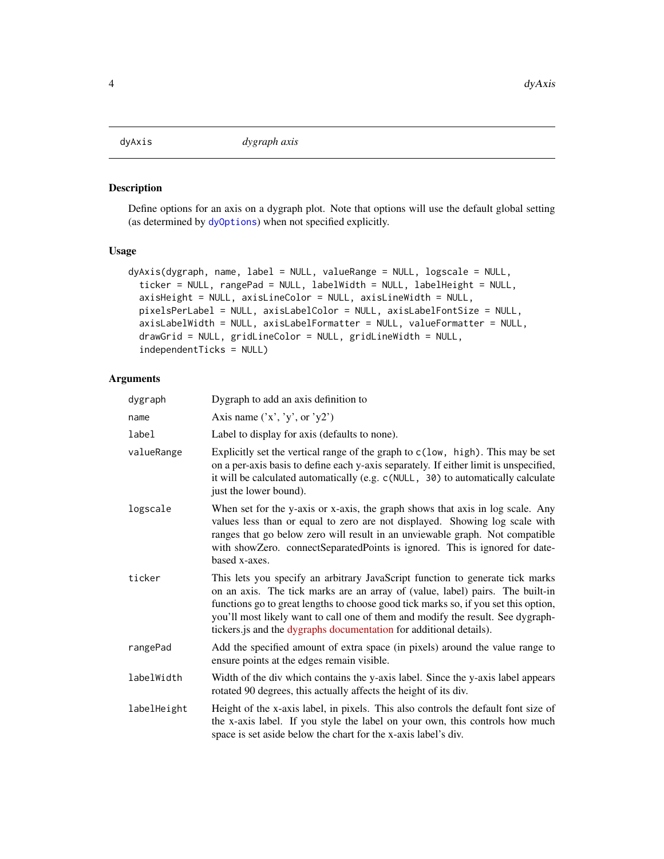<span id="page-3-0"></span>

Define options for an axis on a dygraph plot. Note that options will use the default global setting (as determined by [dyOptions](#page-20-1)) when not specified explicitly.

# Usage

```
dyAxis(dygraph, name, label = NULL, valueRange = NULL, logscale = NULL,
  ticker = NULL, rangePad = NULL, labelWidth = NULL, labelHeight = NULL,
  axisHeight = NULL, axisLineColor = NULL, axisLineWidth = NULL,
 pixelsPerLabel = NULL, axisLabelColor = NULL, axisLabelFontSize = NULL,
  axisLabelWidth = NULL, axisLabelFormatter = NULL, valueFormatter = NULL,
  drawGrid = NULL, gridLineColor = NULL, gridLineWidth = NULL,
  independentTicks = NULL)
```

| dygraph     | Dygraph to add an axis definition to                                                                                                                                                                                                                                                                                                                                                                           |
|-------------|----------------------------------------------------------------------------------------------------------------------------------------------------------------------------------------------------------------------------------------------------------------------------------------------------------------------------------------------------------------------------------------------------------------|
| name        | Axis name $('x', 'y', or 'y2')$                                                                                                                                                                                                                                                                                                                                                                                |
| label       | Label to display for axis (defaults to none).                                                                                                                                                                                                                                                                                                                                                                  |
| valueRange  | Explicitly set the vertical range of the graph to $c(1ow, high)$ . This may be set<br>on a per-axis basis to define each y-axis separately. If either limit is unspecified,<br>it will be calculated automatically (e.g. c(NULL, 30) to automatically calculate<br>just the lower bound).                                                                                                                      |
| logscale    | When set for the y-axis or x-axis, the graph shows that axis in log scale. Any<br>values less than or equal to zero are not displayed. Showing log scale with<br>ranges that go below zero will result in an unviewable graph. Not compatible<br>with showZero. connectSeparatedPoints is ignored. This is ignored for date-<br>based x-axes.                                                                  |
| ticker      | This lets you specify an arbitrary JavaScript function to generate tick marks<br>on an axis. The tick marks are an array of (value, label) pairs. The built-in<br>functions go to great lengths to choose good tick marks so, if you set this option,<br>you'll most likely want to call one of them and modify the result. See dygraph-<br>tickers.js and the dygraphs documentation for additional details). |
| rangePad    | Add the specified amount of extra space (in pixels) around the value range to<br>ensure points at the edges remain visible.                                                                                                                                                                                                                                                                                    |
| labelWidth  | Width of the div which contains the y-axis label. Since the y-axis label appears<br>rotated 90 degrees, this actually affects the height of its div.                                                                                                                                                                                                                                                           |
| labelHeight | Height of the x-axis label, in pixels. This also controls the default font size of<br>the x-axis label. If you style the label on your own, this controls how much<br>space is set aside below the chart for the x-axis label's div.                                                                                                                                                                           |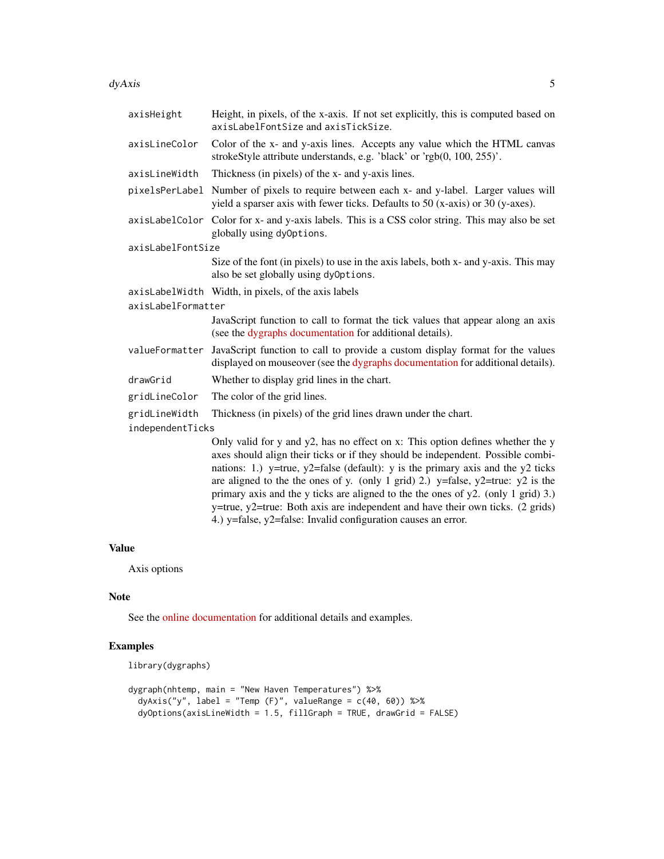#### $dyAxis$  5

| axisHeight        | Height, in pixels, of the x-axis. If not set explicitly, this is computed based on<br>axisLabelFontSize and axisTickSize.                                                                                                                                                                                                                                                                                                                                                                                                                                                               |  |  |
|-------------------|-----------------------------------------------------------------------------------------------------------------------------------------------------------------------------------------------------------------------------------------------------------------------------------------------------------------------------------------------------------------------------------------------------------------------------------------------------------------------------------------------------------------------------------------------------------------------------------------|--|--|
| axisLineColor     | Color of the x- and y-axis lines. Accepts any value which the HTML canvas<br>strokeStyle attribute understands, e.g. 'black' or 'rgb(0, 100, 255)'.                                                                                                                                                                                                                                                                                                                                                                                                                                     |  |  |
| axisLineWidth     | Thickness (in pixels) of the x- and y-axis lines.                                                                                                                                                                                                                                                                                                                                                                                                                                                                                                                                       |  |  |
| pixelsPerLabel    | Number of pixels to require between each x- and y-label. Larger values will<br>yield a sparser axis with fewer ticks. Defaults to 50 (x-axis) or 30 (y-axes).                                                                                                                                                                                                                                                                                                                                                                                                                           |  |  |
|                   | axisLabelColor Color for x- and y-axis labels. This is a CSS color string. This may also be set<br>globally using dy0ptions.                                                                                                                                                                                                                                                                                                                                                                                                                                                            |  |  |
| axisLabelFontSize |                                                                                                                                                                                                                                                                                                                                                                                                                                                                                                                                                                                         |  |  |
|                   | Size of the font (in pixels) to use in the axis labels, both x- and y-axis. This may<br>also be set globally using dy0ptions.                                                                                                                                                                                                                                                                                                                                                                                                                                                           |  |  |
|                   | axisLabelWidth Width, in pixels, of the axis labels                                                                                                                                                                                                                                                                                                                                                                                                                                                                                                                                     |  |  |
|                   | axisLabelFormatter                                                                                                                                                                                                                                                                                                                                                                                                                                                                                                                                                                      |  |  |
|                   | JavaScript function to call to format the tick values that appear along an axis<br>(see the dygraphs documentation for additional details).                                                                                                                                                                                                                                                                                                                                                                                                                                             |  |  |
| valueFormatter    | JavaScript function to call to provide a custom display format for the values<br>displayed on mouseover (see the dygraphs documentation for additional details).                                                                                                                                                                                                                                                                                                                                                                                                                        |  |  |
| drawGrid          | Whether to display grid lines in the chart.                                                                                                                                                                                                                                                                                                                                                                                                                                                                                                                                             |  |  |
| gridLineColor     | The color of the grid lines.                                                                                                                                                                                                                                                                                                                                                                                                                                                                                                                                                            |  |  |
| gridLineWidth     | Thickness (in pixels) of the grid lines drawn under the chart.                                                                                                                                                                                                                                                                                                                                                                                                                                                                                                                          |  |  |
| independentTicks  |                                                                                                                                                                                                                                                                                                                                                                                                                                                                                                                                                                                         |  |  |
|                   | Only valid for y and y2, has no effect on x: This option defines whether the y<br>axes should align their ticks or if they should be independent. Possible combi-<br>nations: 1.) y=true, y2=false (default): y is the primary axis and the y2 ticks<br>are aligned to the the ones of y. (only 1 grid) 2.) y=false, $y2$ =true: $y2$ is the<br>primary axis and the y ticks are aligned to the the ones of $y2$ . (only 1 grid) 3.)<br>y=true, y2=true: Both axis are independent and have their own ticks. (2 grids)<br>4.) y=false, y2=false: Invalid configuration causes an error. |  |  |

#### Value

Axis options

# Note

See the [online documentation](https://rstudio.github.io/dygraphs/gallery-axis-options.html) for additional details and examples.

# Examples

```
library(dygraphs)
```

```
dygraph(nhtemp, main = "New Haven Temperatures") %>%
 dyAxis("y", label = "Temp (F)", valueRange = c(40, 60)) %>%
 dyOptions(axisLineWidth = 1.5, fillGraph = TRUE, drawGrid = FALSE)
```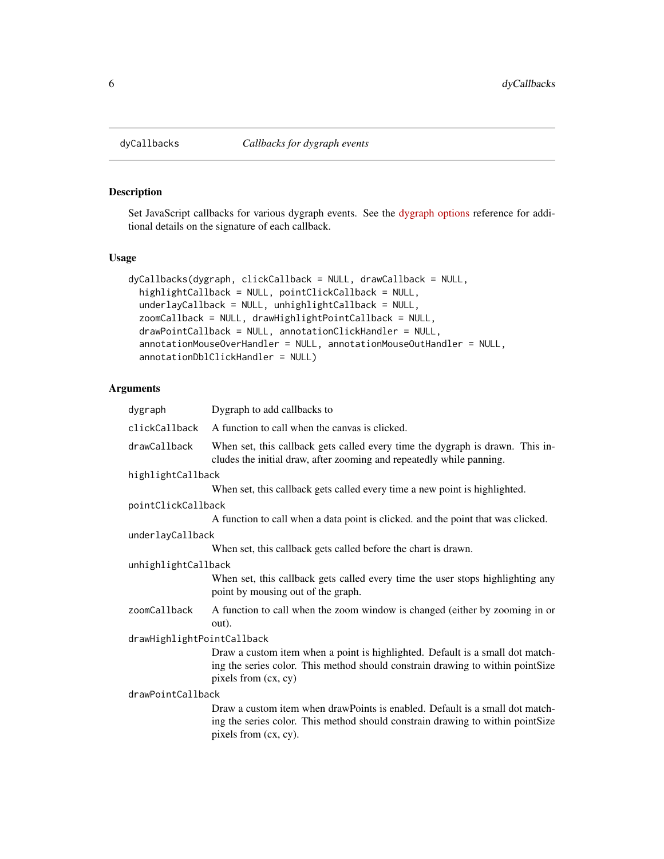<span id="page-5-1"></span><span id="page-5-0"></span>

Set JavaScript callbacks for various dygraph events. See the [dygraph options](http://dygraphs.com/options.html) reference for additional details on the signature of each callback.

# Usage

```
dyCallbacks(dygraph, clickCallback = NULL, drawCallback = NULL,
  highlightCallback = NULL, pointClickCallback = NULL,
 underlayCallback = NULL, unhighlightCallback = NULL,
  zoomCallback = NULL, drawHighlightPointCallback = NULL,
  drawPointCallback = NULL, annotationClickHandler = NULL,
  annotationMouseOverHandler = NULL, annotationMouseOutHandler = NULL,
  annotationDblClickHandler = NULL)
```

| dygraph                    | Dygraph to add callbacks to                                                                                                                                                             |
|----------------------------|-----------------------------------------------------------------------------------------------------------------------------------------------------------------------------------------|
| clickCallback              | A function to call when the canvas is clicked.                                                                                                                                          |
| drawCallback               | When set, this callback gets called every time the dygraph is drawn. This in-<br>cludes the initial draw, after zooming and repeatedly while panning.                                   |
| highlightCallback          |                                                                                                                                                                                         |
|                            | When set, this callback gets called every time a new point is highlighted.                                                                                                              |
| pointClickCallback         |                                                                                                                                                                                         |
|                            | A function to call when a data point is clicked, and the point that was clicked.                                                                                                        |
| underlayCallback           |                                                                                                                                                                                         |
|                            | When set, this callback gets called before the chart is drawn.                                                                                                                          |
| unhighlightCallback        |                                                                                                                                                                                         |
|                            | When set, this callback gets called every time the user stops highlighting any<br>point by mousing out of the graph.                                                                    |
| zoomCallback               | A function to call when the zoom window is changed (either by zooming in or<br>out).                                                                                                    |
| drawHighlightPointCallback |                                                                                                                                                                                         |
|                            | Draw a custom item when a point is highlighted. Default is a small dot match-<br>ing the series color. This method should constrain drawing to within pointSize<br>pixels from (cx, cy) |
| drawPointCallback          |                                                                                                                                                                                         |
|                            | Draw a custom item when drawPoints is enabled. Default is a small dot match-<br>ing the series color. This method should constrain drawing to within pointSize<br>pixels from (cx, cy). |
|                            |                                                                                                                                                                                         |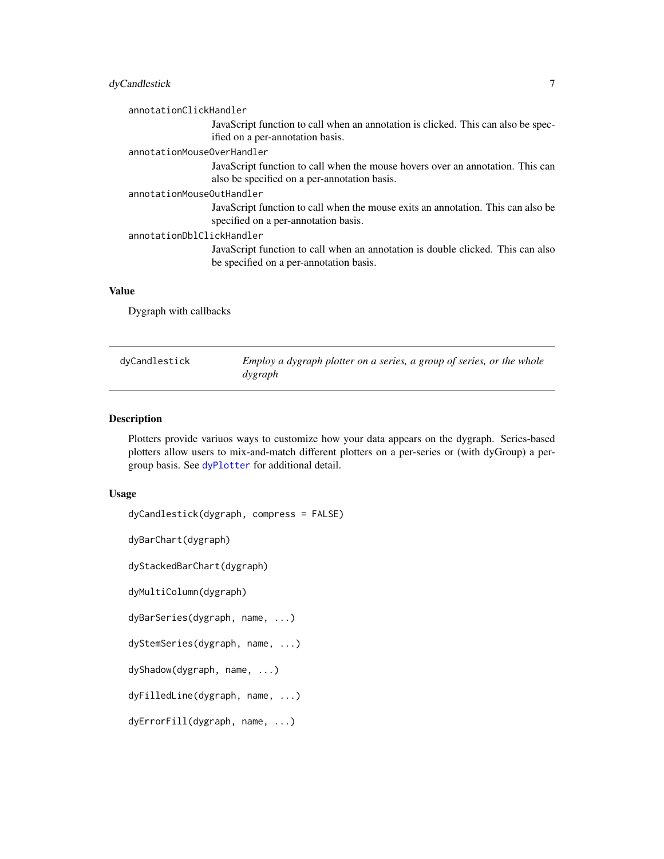# <span id="page-6-0"></span>dyCandlestick 7

annotationClickHandler

JavaScript function to call when an annotation is clicked. This can also be specified on a per-annotation basis.

#### annotationMouseOverHandler

JavaScript function to call when the mouse hovers over an annotation. This can also be specified on a per-annotation basis.

# annotationMouseOutHandler

JavaScript function to call when the mouse exits an annotation. This can also be specified on a per-annotation basis.

```
annotationDblClickHandler
```
JavaScript function to call when an annotation is double clicked. This can also be specified on a per-annotation basis.

#### Value

Dygraph with callbacks

| dvCandlestick | Employ a dygraph plotter on a series, a group of series, or the whole |
|---------------|-----------------------------------------------------------------------|
|               | dygraph                                                               |

# Description

Plotters provide variuos ways to customize how your data appears on the dygraph. Series-based plotters allow users to mix-and-match different plotters on a per-series or (with dyGroup) a pergroup basis. See [dyPlotter](#page-24-1) for additional detail.

#### Usage

```
dyCandlestick(dygraph, compress = FALSE)
dyBarChart(dygraph)
```
dyStackedBarChart(dygraph)

dyMultiColumn(dygraph)

```
dyBarSeries(dygraph, name, ...)
```
dyStemSeries(dygraph, name, ...)

dyShadow(dygraph, name, ...)

dyFilledLine(dygraph, name, ...)

dyErrorFill(dygraph, name, ...)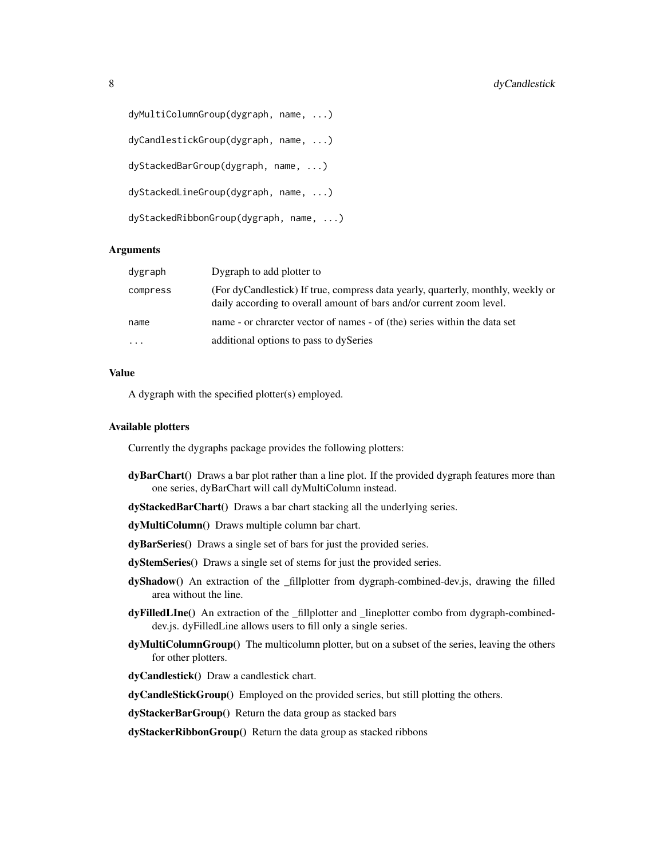```
dyMultiColumnGroup(dygraph, name, ...)
dyCandlestickGroup(dygraph, name, ...)
dyStackedBarGroup(dygraph, name, ...)
dyStackedLineGroup(dygraph, name, ...)
dyStackedRibbonGroup(dygraph, name, ...)
```
#### Arguments

| dygraph                 | Dygraph to add plotter to                                                                                                                                |
|-------------------------|----------------------------------------------------------------------------------------------------------------------------------------------------------|
| compress                | (For dyCandlestick) If true, compress data yearly, quarterly, monthly, weekly or<br>daily according to overall amount of bars and/or current zoom level. |
| name                    | name - or chraneter vector of names - of (the) series within the data set                                                                                |
| $\cdot$ $\cdot$ $\cdot$ | additional options to pass to dySeries                                                                                                                   |

# Value

A dygraph with the specified plotter(s) employed.

#### Available plotters

Currently the dygraphs package provides the following plotters:

- dyBarChart() Draws a bar plot rather than a line plot. If the provided dygraph features more than one series, dyBarChart will call dyMultiColumn instead.
- dyStackedBarChart() Draws a bar chart stacking all the underlying series.
- dyMultiColumn() Draws multiple column bar chart.
- dyBarSeries() Draws a single set of bars for just the provided series.
- dyStemSeries() Draws a single set of stems for just the provided series.
- dyShadow() An extraction of the \_fillplotter from dygraph-combined-dev.js, drawing the filled area without the line.
- dyFilledLIne() An extraction of the \_fillplotter and \_lineplotter combo from dygraph-combineddev.js. dyFilledLine allows users to fill only a single series.
- dyMultiColumnGroup() The multicolumn plotter, but on a subset of the series, leaving the others for other plotters.

dyCandlestick() Draw a candlestick chart.

dyCandleStickGroup() Employed on the provided series, but still plotting the others.

dyStackerBarGroup() Return the data group as stacked bars

dyStackerRibbonGroup() Return the data group as stacked ribbons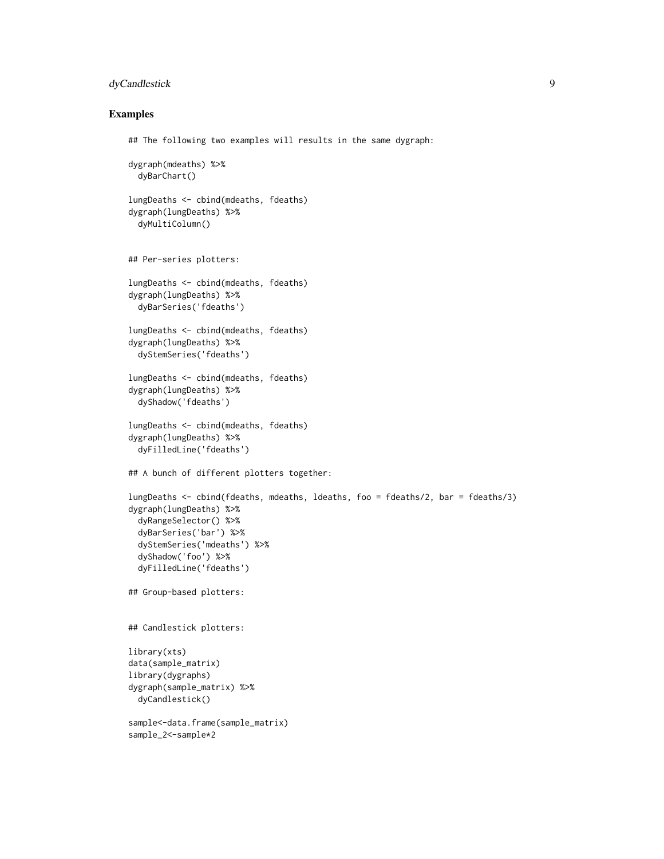#### dyCandlestick 9

#### Examples

## The following two examples will results in the same dygraph:

```
dygraph(mdeaths) %>%
 dyBarChart()
lungDeaths <- cbind(mdeaths, fdeaths)
dygraph(lungDeaths) %>%
 dyMultiColumn()
## Per-series plotters:
lungDeaths <- cbind(mdeaths, fdeaths)
dygraph(lungDeaths) %>%
 dyBarSeries('fdeaths')
lungDeaths <- cbind(mdeaths, fdeaths)
dygraph(lungDeaths) %>%
 dyStemSeries('fdeaths')
lungDeaths <- cbind(mdeaths, fdeaths)
dygraph(lungDeaths) %>%
 dyShadow('fdeaths')
lungDeaths <- cbind(mdeaths, fdeaths)
dygraph(lungDeaths) %>%
 dyFilledLine('fdeaths')
## A bunch of different plotters together:
lungDeaths <- cbind(fdeaths, mdeaths, ldeaths, foo = fdeaths/2, bar = fdeaths/3)
dygraph(lungDeaths) %>%
 dyRangeSelector() %>%
 dyBarSeries('bar') %>%
 dyStemSeries('mdeaths') %>%
 dyShadow('foo') %>%
 dyFilledLine('fdeaths')
## Group-based plotters:
## Candlestick plotters:
library(xts)
data(sample_matrix)
library(dygraphs)
dygraph(sample_matrix) %>%
 dyCandlestick()
sample<-data.frame(sample_matrix)
sample_2<-sample*2
```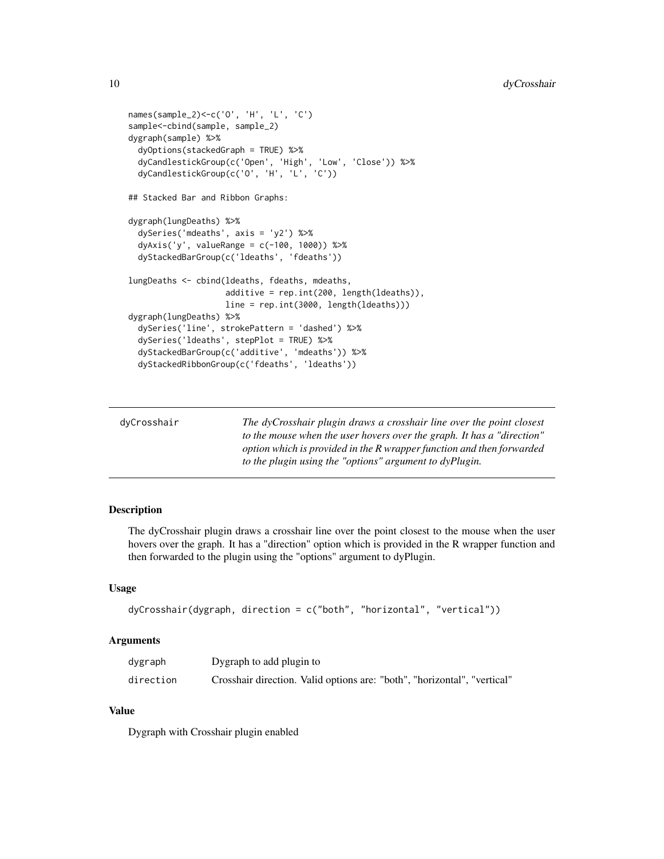```
names(sample_2)<-c('O', 'H', 'L', 'C')
sample<-cbind(sample, sample_2)
dygraph(sample) %>%
 dyOptions(stackedGraph = TRUE) %>%
 dyCandlestickGroup(c('Open', 'High', 'Low', 'Close')) %>%
 dyCandlestickGroup(c('O', 'H', 'L', 'C'))
## Stacked Bar and Ribbon Graphs:
dygraph(lungDeaths) %>%
 dySeries('mdeaths', axis = 'y2') %>%
 dyAxis('y', valueRange = c(-100, 1000)) %>%
 dyStackedBarGroup(c('ldeaths', 'fdeaths'))
lungDeaths <- cbind(ldeaths, fdeaths, mdeaths,
                    additive = rep.int(200, length(ldeaths)),
                    line = rep.int(3000, length(ldeaths)))
dygraph(lungDeaths) %>%
 dySeries('line', strokePattern = 'dashed') %>%
 dySeries('ldeaths', stepPlot = TRUE) %>%
 dyStackedBarGroup(c('additive', 'mdeaths')) %>%
 dyStackedRibbonGroup(c('fdeaths', 'ldeaths'))
```

| dyCrosshair | The dyCrosshair plugin draws a crosshair line over the point closest   |
|-------------|------------------------------------------------------------------------|
|             | to the mouse when the user hovers over the graph. It has a "direction" |
|             | option which is provided in the R wrapper function and then forwarded  |
|             | to the plugin using the "options" argument to dyPlugin.                |

The dyCrosshair plugin draws a crosshair line over the point closest to the mouse when the user hovers over the graph. It has a "direction" option which is provided in the R wrapper function and then forwarded to the plugin using the "options" argument to dyPlugin.

#### Usage

```
dyCrosshair(dygraph, direction = c("both", "horizontal", "vertical"))
```
#### Arguments

| dygraph   | Dygraph to add plugin to                                                 |
|-----------|--------------------------------------------------------------------------|
| direction | Crosshair direction. Valid options are: "both", "horizontal", "vertical" |

# Value

Dygraph with Crosshair plugin enabled

<span id="page-9-0"></span>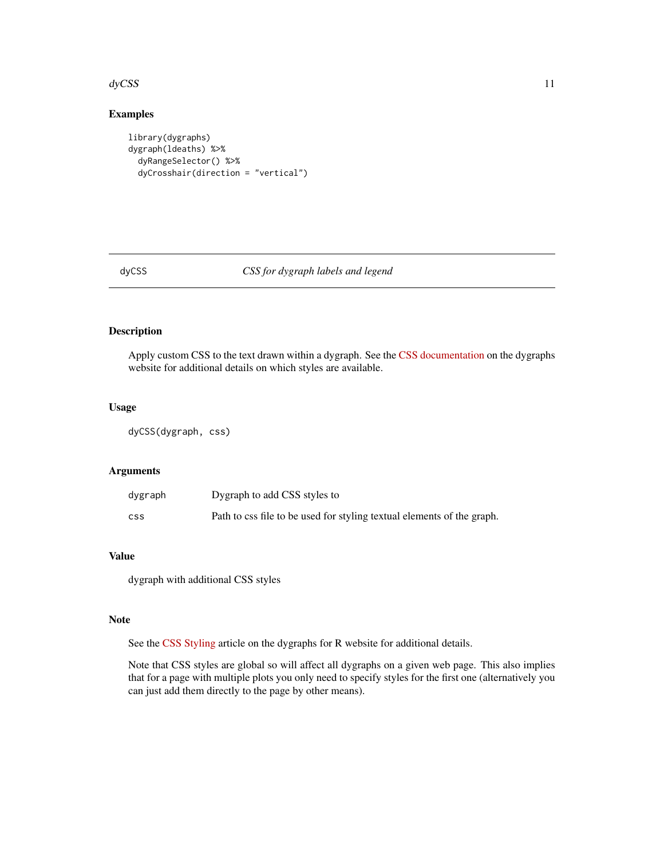#### <span id="page-10-0"></span> $\frac{dy}{CSS}$  11

# Examples

```
library(dygraphs)
dygraph(ldeaths) %>%
  dyRangeSelector() %>%
  dyCrosshair(direction = "vertical")
```
#### dyCSS *CSS for dygraph labels and legend*

# Description

Apply custom CSS to the text drawn within a dygraph. See the [CSS documentation](http://dygraphs.com/css.html) on the dygraphs website for additional details on which styles are available.

# Usage

dyCSS(dygraph, css)

# Arguments

| dygraph | Dygraph to add CSS styles to                                           |
|---------|------------------------------------------------------------------------|
| css     | Path to css file to be used for styling textual elements of the graph. |

# Value

dygraph with additional CSS styles

#### Note

See the [CSS Styling](https://rstudio.github.io/dygraphs/gallery-css-styling.html) article on the dygraphs for R website for additional details.

Note that CSS styles are global so will affect all dygraphs on a given web page. This also implies that for a page with multiple plots you only need to specify styles for the first one (alternatively you can just add them directly to the page by other means).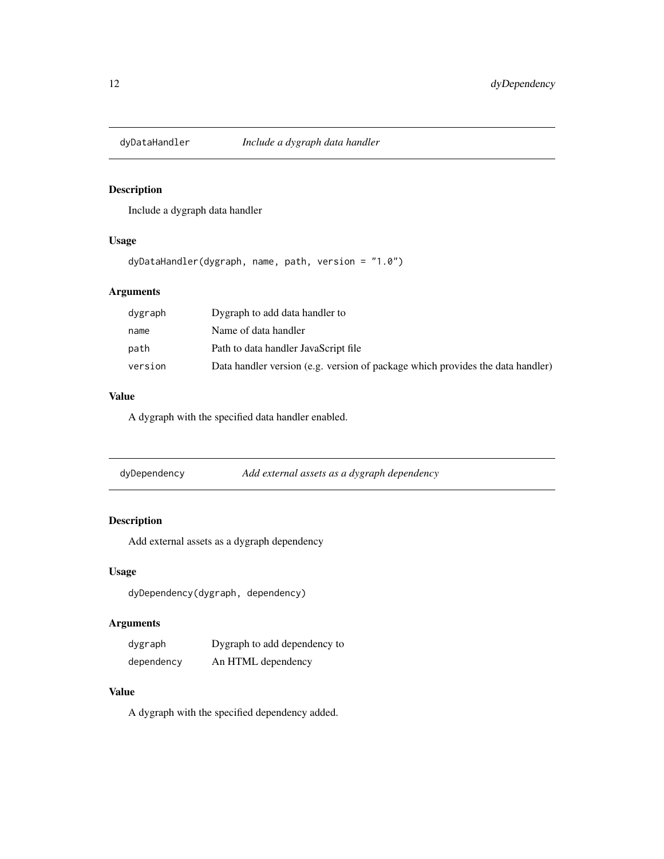<span id="page-11-0"></span>

Include a dygraph data handler

## Usage

dyDataHandler(dygraph, name, path, version = "1.0")

# Arguments

| dygraph | Dygraph to add data handler to                                                 |
|---------|--------------------------------------------------------------------------------|
| name    | Name of data handler                                                           |
| path    | Path to data handler JavaScript file                                           |
| version | Data handler version (e.g. version of package which provides the data handler) |

# Value

A dygraph with the specified data handler enabled.

| Add external assets as a dygraph dependency<br>dyDependency |  |
|-------------------------------------------------------------|--|
|-------------------------------------------------------------|--|

# Description

Add external assets as a dygraph dependency

# Usage

dyDependency(dygraph, dependency)

# Arguments

| dygraph    | Dygraph to add dependency to |
|------------|------------------------------|
| dependency | An HTML dependency           |

# Value

A dygraph with the specified dependency added.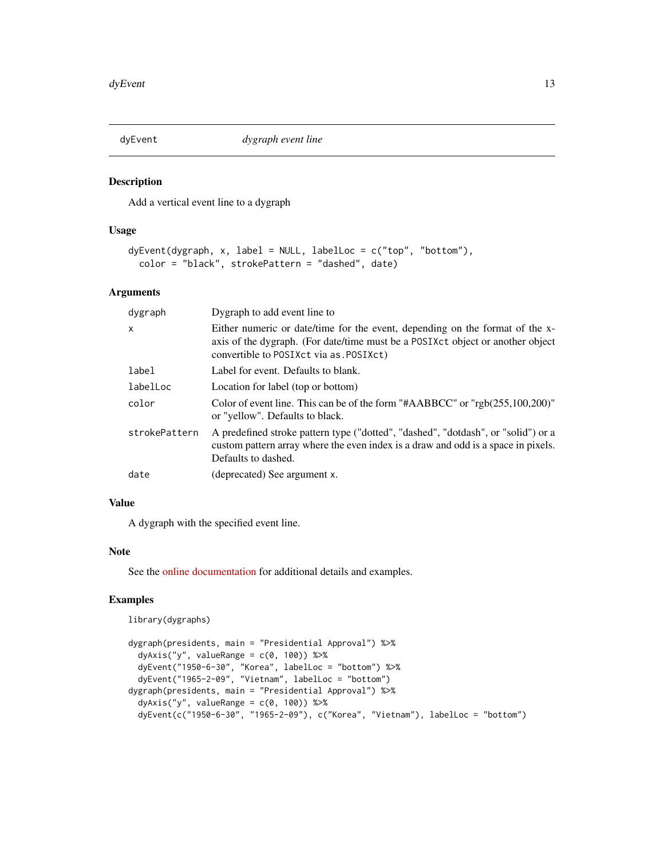<span id="page-12-0"></span>

Add a vertical event line to a dygraph

#### Usage

```
dyEvent(dygraph, x, label = NULL, labelLoc = c("top", "bottom"),
 color = "black", strokePattern = "dashed", date)
```
# Arguments

| dygraph       | Dygraph to add event line to                                                                                                                                                                               |
|---------------|------------------------------------------------------------------------------------------------------------------------------------------------------------------------------------------------------------|
| $\mathsf{x}$  | Either numeric or date/time for the event, depending on the format of the x-<br>axis of the dygraph. (For date/time must be a POSIXct object or another object<br>convertible to POSIXct via as . POSIXct) |
| label         | Label for event. Defaults to blank.                                                                                                                                                                        |
| labelLoc      | Location for label (top or bottom)                                                                                                                                                                         |
| color         | Color of event line. This can be of the form "#AABBCC" or " $rgb(255,100,200)$ "<br>or "yellow". Defaults to black.                                                                                        |
| strokePattern | A predefined stroke pattern type ("dotted", "dashed", "dotdash", or "solid") or a<br>custom pattern array where the even index is a draw and odd is a space in pixels.<br>Defaults to dashed.              |
| date          | (deprecated) See argument x.                                                                                                                                                                               |

# Value

A dygraph with the specified event line.

# Note

See the [online documentation](https://rstudio.github.io/dygraphs/gallery-event-lines.html) for additional details and examples.

#### Examples

library(dygraphs)

```
dygraph(presidents, main = "Presidential Approval") %>%
 dyAxis('y'', valueRange = c(0, 100)) %>%
 dyEvent("1950-6-30", "Korea", labelLoc = "bottom") %>%
 dyEvent("1965-2-09", "Vietnam", labelLoc = "bottom")
dygraph(presidents, main = "Presidential Approval") %>%
 dyAxis("y", valueRange = c(0, 100)) %>%
 dyEvent(c("1950-6-30", "1965-2-09"), c("Korea", "Vietnam"), labelLoc = "bottom")
```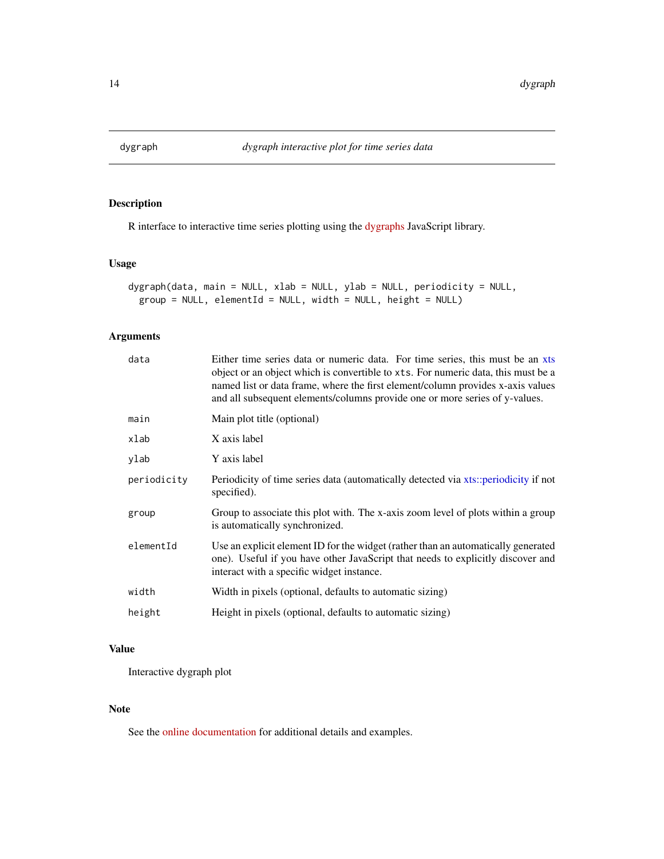<span id="page-13-0"></span>

R interface to interactive time series plotting using the [dygraphs](http://dygraphs.com) JavaScript library.

# Usage

```
dygraph(data, main = NULL, xlab = NULL, ylab = NULL, periodicity = NULL,
 group = NULL, elementId = NULL, width = NULL, height = NULL)
```
# Arguments

| data        | Either time series data or numeric data. For time series, this must be an xts<br>object or an object which is convertible to xts. For numeric data, this must be a<br>named list or data frame, where the first element/column provides x-axis values<br>and all subsequent elements/columns provide one or more series of y-values. |
|-------------|--------------------------------------------------------------------------------------------------------------------------------------------------------------------------------------------------------------------------------------------------------------------------------------------------------------------------------------|
| main        | Main plot title (optional)                                                                                                                                                                                                                                                                                                           |
| xlab        | X axis label                                                                                                                                                                                                                                                                                                                         |
| ylab        | Y axis label                                                                                                                                                                                                                                                                                                                         |
| periodicity | Periodicity of time series data (automatically detected via xts::periodicity if not<br>specified).                                                                                                                                                                                                                                   |
| group       | Group to associate this plot with. The x-axis zoom level of plots within a group<br>is automatically synchronized.                                                                                                                                                                                                                   |
| elementId   | Use an explicit element ID for the widget (rather than an automatically generated<br>one). Useful if you have other JavaScript that needs to explicitly discover and<br>interact with a specific widget instance.                                                                                                                    |
| width       | Width in pixels (optional, defaults to automatic sizing)                                                                                                                                                                                                                                                                             |
| height      | Height in pixels (optional, defaults to automatic sizing)                                                                                                                                                                                                                                                                            |
|             |                                                                                                                                                                                                                                                                                                                                      |

# Value

Interactive dygraph plot

#### Note

See the [online documentation](https://rstudio.github.io/dygraphs/) for additional details and examples.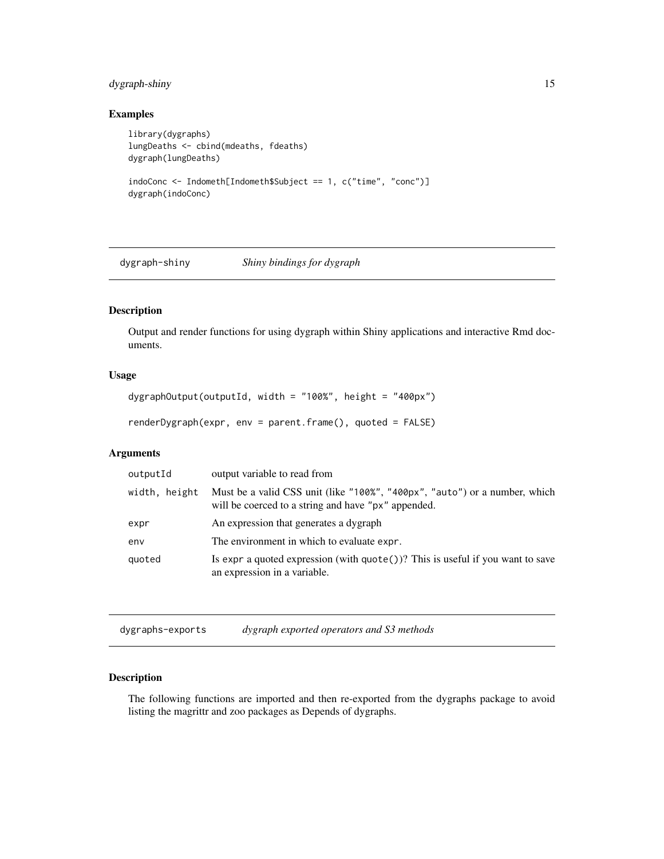# <span id="page-14-0"></span>dygraph-shiny 15

# Examples

```
library(dygraphs)
lungDeaths <- cbind(mdeaths, fdeaths)
dygraph(lungDeaths)
indoConc <- Indometh[Indometh$Subject == 1, c("time", "conc")]
dygraph(indoConc)
```
dygraph-shiny *Shiny bindings for dygraph*

# Description

Output and render functions for using dygraph within Shiny applications and interactive Rmd documents.

# Usage

```
dygraphOutput(outputId, width = "100%", height = "400px")
```
renderDygraph(expr, env = parent.frame(), quoted = FALSE)

# Arguments

| outputId      | output variable to read from                                                                                                      |
|---------------|-----------------------------------------------------------------------------------------------------------------------------------|
| width, height | Must be a valid CSS unit (like "100%", "400px", "auto") or a number, which<br>will be coerced to a string and have "px" appended. |
| expr          | An expression that generates a dygraph                                                                                            |
| env           | The environment in which to evaluate expr.                                                                                        |
| quoted        | Is expr a quoted expression (with $\text{quote}()$ )? This is useful if you want to save<br>an expression in a variable.          |

dygraphs-exports *dygraph exported operators and S3 methods*

# Description

The following functions are imported and then re-exported from the dygraphs package to avoid listing the magrittr and zoo packages as Depends of dygraphs.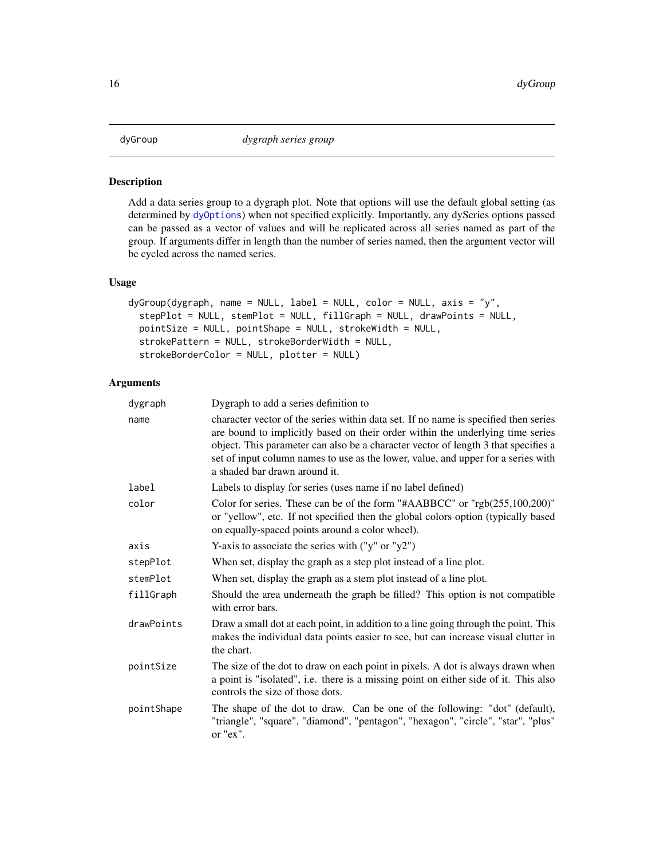<span id="page-15-0"></span>Add a data series group to a dygraph plot. Note that options will use the default global setting (as determined by [dyOptions](#page-20-1)) when not specified explicitly. Importantly, any dySeries options passed can be passed as a vector of values and will be replicated across all series named as part of the group. If arguments differ in length than the number of series named, then the argument vector will be cycled across the named series.

#### Usage

```
dyGroup(dygraph, name = NULL, label = NULL, color = NULL, axis = "y",stepPlot = NULL, stemPlot = NULL, fillGraph = NULL, drawPoints = NULL,
 pointSize = NULL, pointShape = NULL, strokeWidth = NULL,
 strokePattern = NULL, strokeBorderWidth = NULL,
  strokeBorderColor = NULL, plotter = NULL)
```

| dygraph    | Dygraph to add a series definition to                                                                                                                                                                                                                                                                                                                                             |
|------------|-----------------------------------------------------------------------------------------------------------------------------------------------------------------------------------------------------------------------------------------------------------------------------------------------------------------------------------------------------------------------------------|
| name       | character vector of the series within data set. If no name is specified then series<br>are bound to implicitly based on their order within the underlying time series<br>object. This parameter can also be a character vector of length 3 that specifies a<br>set of input column names to use as the lower, value, and upper for a series with<br>a shaded bar drawn around it. |
| label      | Labels to display for series (uses name if no label defined)                                                                                                                                                                                                                                                                                                                      |
| color      | Color for series. These can be of the form "#AABBCC" or "rgb(255,100,200)"<br>or "yellow", etc. If not specified then the global colors option (typically based<br>on equally-spaced points around a color wheel).                                                                                                                                                                |
| axis       | Y-axis to associate the series with $("y" or "y2")$                                                                                                                                                                                                                                                                                                                               |
| stepPlot   | When set, display the graph as a step plot instead of a line plot.                                                                                                                                                                                                                                                                                                                |
| stemPlot   | When set, display the graph as a stem plot instead of a line plot.                                                                                                                                                                                                                                                                                                                |
| fillGraph  | Should the area underneath the graph be filled? This option is not compatible<br>with error bars.                                                                                                                                                                                                                                                                                 |
| drawPoints | Draw a small dot at each point, in addition to a line going through the point. This<br>makes the individual data points easier to see, but can increase visual clutter in<br>the chart.                                                                                                                                                                                           |
| pointSize  | The size of the dot to draw on each point in pixels. A dot is always drawn when<br>a point is "isolated", i.e. there is a missing point on either side of it. This also<br>controls the size of those dots.                                                                                                                                                                       |
| pointShape | The shape of the dot to draw. Can be one of the following: "dot" (default),<br>"triangle", "square", "diamond", "pentagon", "hexagon", "circle", "star", "plus"<br>or "ex".                                                                                                                                                                                                       |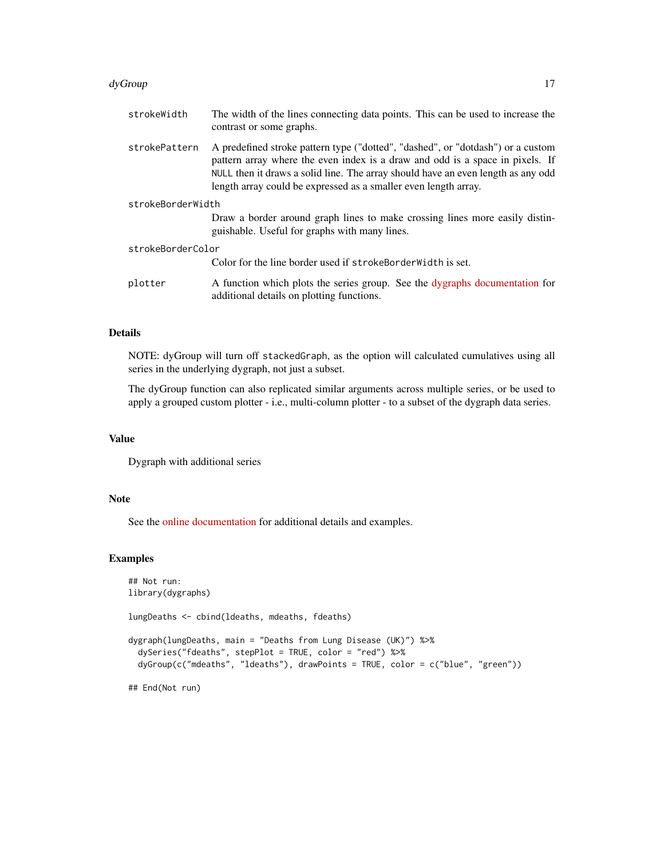#### dyGroup and the contract of the contract of the contract of the contract of the contract of the contract of the contract of the contract of the contract of the contract of the contract of the contract of the contract of th

| strokeWidth       | The width of the lines connecting data points. This can be used to increase the<br>contrast or some graphs.                                                                                                                                                                                                             |
|-------------------|-------------------------------------------------------------------------------------------------------------------------------------------------------------------------------------------------------------------------------------------------------------------------------------------------------------------------|
| strokePattern     | A predefined stroke pattern type ("dotted", "dashed", or "dotdash") or a custom<br>pattern array where the even index is a draw and odd is a space in pixels. If<br>NULL then it draws a solid line. The array should have an even length as any odd<br>length array could be expressed as a smaller even length array. |
| strokeBorderWidth |                                                                                                                                                                                                                                                                                                                         |
|                   | Draw a border around graph lines to make crossing lines more easily distin-<br>guishable. Useful for graphs with many lines.                                                                                                                                                                                            |
| strokeBorderColor |                                                                                                                                                                                                                                                                                                                         |
|                   | Color for the line border used if strokeBorderWidth is set.                                                                                                                                                                                                                                                             |
| plotter           | A function which plots the series group. See the dygraphs documentation for<br>additional details on plotting functions.                                                                                                                                                                                                |

#### Details

NOTE: dyGroup will turn off stackedGraph, as the option will calculated cumulatives using all series in the underlying dygraph, not just a subset.

The dyGroup function can also replicated similar arguments across multiple series, or be used to apply a grouped custom plotter - i.e., multi-column plotter - to a subset of the dygraph data series.

#### Value

Dygraph with additional series

#### Note

See the [online documentation](https://rstudio.github.io/dygraphs/gallery-series-options.html) for additional details and examples.

#### Examples

```
## Not run:
library(dygraphs)
lungDeaths <- cbind(ldeaths, mdeaths, fdeaths)
dygraph(lungDeaths, main = "Deaths from Lung Disease (UK)") %>%
  dySeries("fdeaths", stepPlot = TRUE, color = "red") %>%
  dyGroup(c("mdeaths", "ldeaths"), drawPoints = TRUE, color = c("blue", "green"))
## End(Not run)
```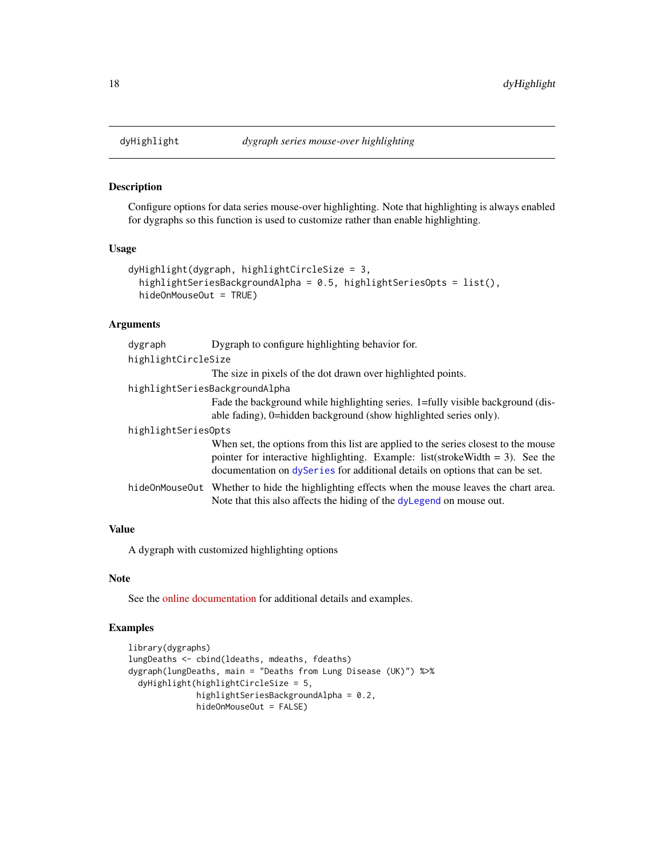Configure options for data series mouse-over highlighting. Note that highlighting is always enabled for dygraphs so this function is used to customize rather than enable highlighting.

#### Usage

```
dyHighlight(dygraph, highlightCircleSize = 3,
 highlightSeriesBackgroundAlpha = 0.5, highlightSeriesOpts = list(),
 hideOnMouseOut = TRUE)
```
# Arguments

| dygraph             | Dygraph to configure highlighting behavior for.                                                                                                                                                                                                         |  |  |
|---------------------|---------------------------------------------------------------------------------------------------------------------------------------------------------------------------------------------------------------------------------------------------------|--|--|
|                     | highlightCircleSize                                                                                                                                                                                                                                     |  |  |
|                     | The size in pixels of the dot drawn over highlighted points.                                                                                                                                                                                            |  |  |
|                     | highlightSeriesBackgroundAlpha                                                                                                                                                                                                                          |  |  |
|                     | Fade the background while highlighting series. 1=fully visible background (dis-<br>able fading), 0=hidden background (show highlighted series only).                                                                                                    |  |  |
| highlightSeriesOpts |                                                                                                                                                                                                                                                         |  |  |
|                     | When set, the options from this list are applied to the series closest to the mouse<br>pointer for interactive highlighting. Example: list(stroke Width $=$ 3). See the<br>documentation on dyseries for additional details on options that can be set. |  |  |
|                     | hideOnMouseOut Whether to hide the highlighting effects when the mouse leaves the chart area.<br>Note that this also affects the hiding of the dylegend on mouse out.                                                                                   |  |  |

#### Value

A dygraph with customized highlighting options

#### Note

See the [online documentation](https://rstudio.github.io/dygraphs/gallery-series-highlighting.html) for additional details and examples.

# Examples

```
library(dygraphs)
lungDeaths <- cbind(ldeaths, mdeaths, fdeaths)
dygraph(lungDeaths, main = "Deaths from Lung Disease (UK)") %>%
 dyHighlight(highlightCircleSize = 5,
             highlightSeriesBackgroundAlpha = 0.2,
             hideOnMouseOut = FALSE)
```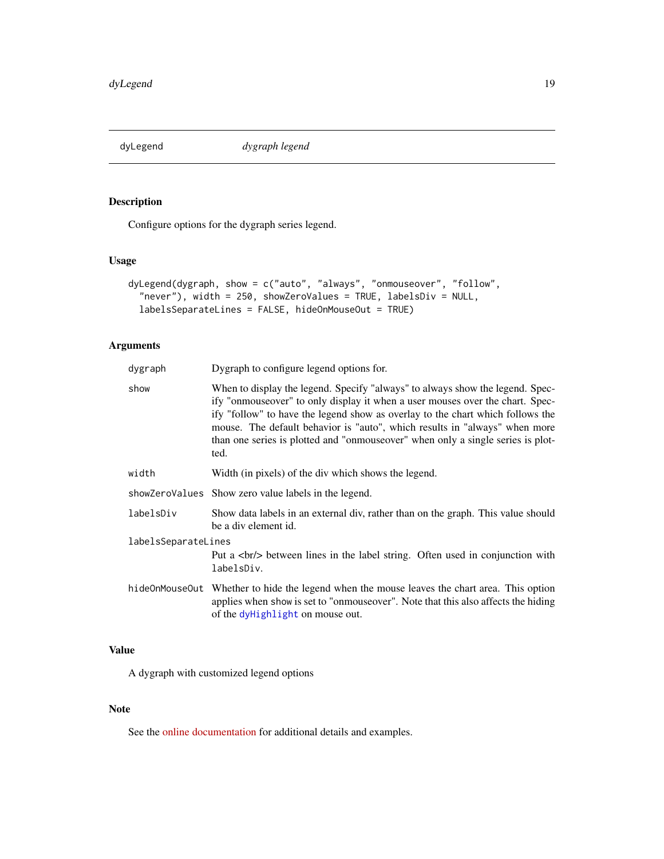<span id="page-18-1"></span><span id="page-18-0"></span>dyLegend *dygraph legend*

# Description

Configure options for the dygraph series legend.

# Usage

```
dyLegend(dygraph, show = c("auto", "always", "onmouseover", "follow",
  "never"), width = 250, showZeroValues = TRUE, labelsDiv = NULL,
 labelsSeparateLines = FALSE, hideOnMouseOut = TRUE)
```
# Arguments

| dygraph             | Dygraph to configure legend options for.                                                                                                                                                                                                                                                                                                                                                                                   |  |
|---------------------|----------------------------------------------------------------------------------------------------------------------------------------------------------------------------------------------------------------------------------------------------------------------------------------------------------------------------------------------------------------------------------------------------------------------------|--|
| show                | When to display the legend. Specify "always" to always show the legend. Spec-<br>ify "onmouseover" to only display it when a user mouses over the chart. Spec-<br>ify "follow" to have the legend show as overlay to the chart which follows the<br>mouse. The default behavior is "auto", which results in "always" when more<br>than one series is plotted and "onmouse over" when only a single series is plot-<br>ted. |  |
| width               | Width (in pixels) of the div which shows the legend.                                                                                                                                                                                                                                                                                                                                                                       |  |
|                     | showZeroValues Show zero value labels in the legend.                                                                                                                                                                                                                                                                                                                                                                       |  |
| labelsDiv           | Show data labels in an external div, rather than on the graph. This value should<br>be a div element id.                                                                                                                                                                                                                                                                                                                   |  |
| labelsSeparateLines |                                                                                                                                                                                                                                                                                                                                                                                                                            |  |
|                     | Put a<br>br/> between lines in the label string. Often used in conjunction with<br>labelsDiv.                                                                                                                                                                                                                                                                                                                              |  |
|                     | hideOnMouseOut Whether to hide the legend when the mouse leaves the chart area. This option<br>applies when show is set to "onmouse over". Note that this also affects the hiding<br>of the dyHighlight on mouse out.                                                                                                                                                                                                      |  |

# Value

A dygraph with customized legend options

# Note

See the [online documentation](https://rstudio.github.io/dygraphs/gallery-plot-labels.html) for additional details and examples.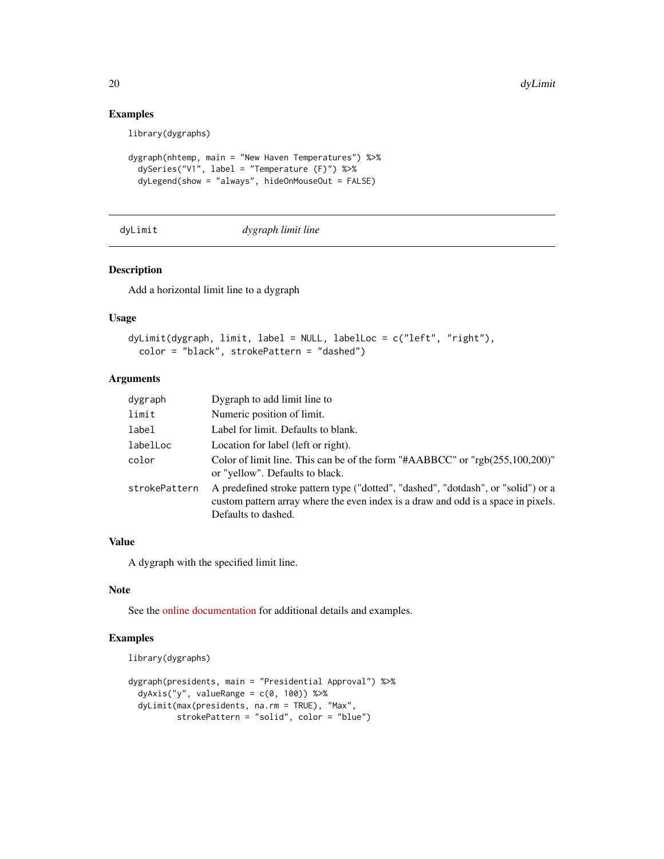# Examples

library(dygraphs)

```
dygraph(nhtemp, main = "New Haven Temperatures") %>%
 dySeries("V1", label = "Temperature (F)") %>%
 dyLegend(show = "always", hideOnMouseOut = FALSE)
```
dyLimit *dygraph limit line*

#### Description

Add a horizontal limit line to a dygraph

#### Usage

```
dyLimit(dygraph, limit, label = NULL, labelLoc = c("left", "right"),
 color = "black", strokePattern = "dashed")
```
# Arguments

| dygraph       | Dygraph to add limit line to                                                                                                                                                                  |
|---------------|-----------------------------------------------------------------------------------------------------------------------------------------------------------------------------------------------|
| limit         | Numeric position of limit.                                                                                                                                                                    |
| label         | Label for limit. Defaults to blank.                                                                                                                                                           |
| labelLoc      | Location for label (left or right).                                                                                                                                                           |
| color         | Color of limit line. This can be of the form "#AABBCC" or "rgb(255,100,200)"<br>or "yellow". Defaults to black.                                                                               |
| strokePattern | A predefined stroke pattern type ("dotted", "dashed", "dotdash", or "solid") or a<br>custom pattern array where the even index is a draw and odd is a space in pixels.<br>Defaults to dashed. |

# Value

A dygraph with the specified limit line.

# Note

See the [online documentation](https://rstudio.github.io/dygraphs/gallery-event-lines.html) for additional details and examples.

# Examples

```
library(dygraphs)
```

```
dygraph(presidents, main = "Presidential Approval") %>%
 dyAxis("y", valueRange = c(0, 100)) %>%
 dyLimit(max(presidents, na.rm = TRUE), "Max",
         strokePattern = "solid", color = "blue")
```
<span id="page-19-0"></span>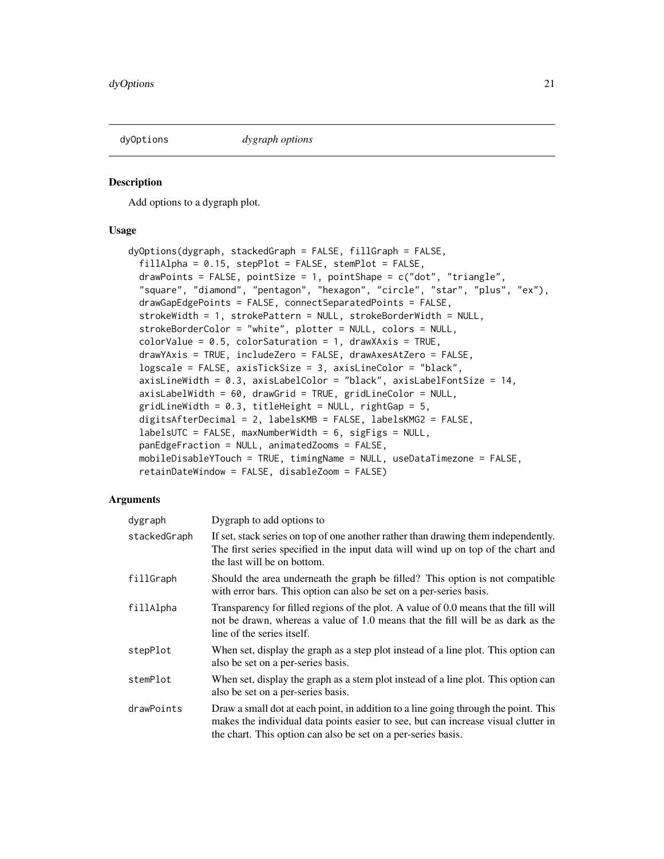<span id="page-20-1"></span><span id="page-20-0"></span>

Add options to a dygraph plot.

#### Usage

```
dyOptions(dygraph, stackedGraph = FALSE, fillGraph = FALSE,
  fillAlpha = 0.15, stepPlot = FALSE, stemPlot = FALSE,
  drawPoints = FALSE, pointSize = 1, pointShape = c("dot", "triangle","square", "diamond", "pentagon", "hexagon", "circle", "star", "plus", "ex"),
  drawGapEdgePoints = FALSE, connectSeparatedPoints = FALSE,
  strokeWidth = 1, strokePattern = NULL, strokeBorderWidth = NULL,
  strokeBorderColor = "white", plotter = NULL, colors = NULL,
  colorValue = 0.5, colorStatement = 1, drawMaxis = TRUE,
  drawYAxis = TRUE, includeZero = FALSE, drawAxesAtZero = FALSE,
  logscale = FALSE, axisTickSize = 3, axisLineColor = "black",
  axisLineWidth = 0.3, axisLabelColor = "black", axisLabelFontSize = 14,
  axisLabelWidth = 60, drawGrid = TRUE, gridLineColor = NULL,
  gridLineWidth = 0.3, titleHeight = NULL, rightGap = 5,
  digitsAfterDecimal = 2, labelsKMB = FALSE, labelsKMG2 = FALSE,
  labelSUTC = FALSE, maxNumberWidth = 6, sigFigs = NULL,
  panEdgeFraction = NULL, animatedZooms = FALSE,
 mobileDisableYTouch = TRUE, timingName = NULL, useDataTimezone = FALSE,
  retainDateWindow = FALSE, disableZoom = FALSE)
```

| dygraph      | Dygraph to add options to                                                                                                                                                                                                                  |
|--------------|--------------------------------------------------------------------------------------------------------------------------------------------------------------------------------------------------------------------------------------------|
| stackedGraph | If set, stack series on top of one another rather than drawing them independently.<br>The first series specified in the input data will wind up on top of the chart and<br>the last will be on bottom.                                     |
| fillGraph    | Should the area underneath the graph be filled? This option is not compatible<br>with error bars. This option can also be set on a per-series basis.                                                                                       |
| fillAlpha    | Transparency for filled regions of the plot. A value of 0.0 means that the fill will<br>not be drawn, whereas a value of 1.0 means that the fill will be as dark as the<br>line of the series itself.                                      |
| stepPlot     | When set, display the graph as a step plot instead of a line plot. This option can<br>also be set on a per-series basis.                                                                                                                   |
| stemPlot     | When set, display the graph as a stem plot instead of a line plot. This option can<br>also be set on a per-series basis.                                                                                                                   |
| drawPoints   | Draw a small dot at each point, in addition to a line going through the point. This<br>makes the individual data points easier to see, but can increase visual clutter in<br>the chart. This option can also be set on a per-series basis. |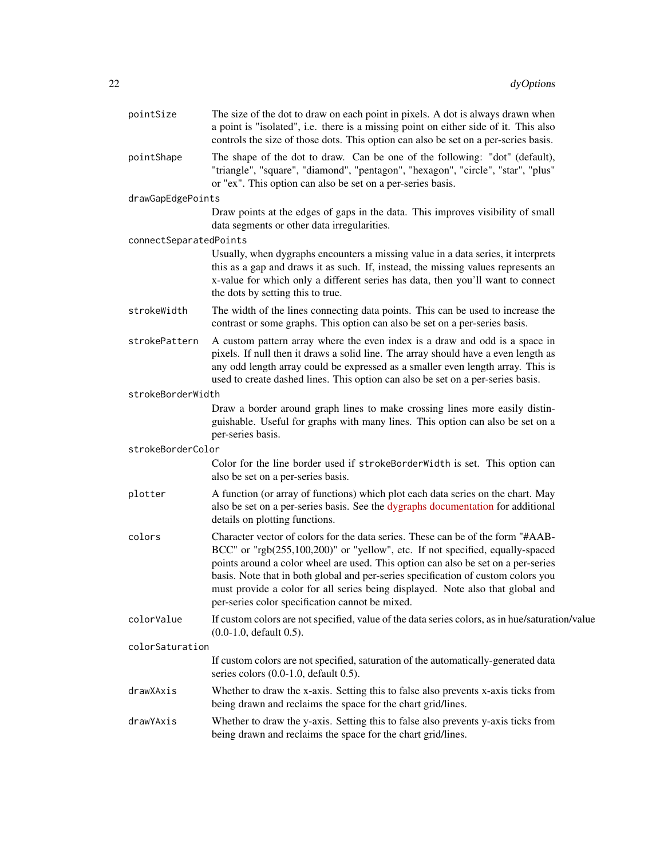| pointSize              | The size of the dot to draw on each point in pixels. A dot is always drawn when<br>a point is "isolated", i.e. there is a missing point on either side of it. This also<br>controls the size of those dots. This option can also be set on a per-series basis.                                                                                                                                                                                                                  |
|------------------------|---------------------------------------------------------------------------------------------------------------------------------------------------------------------------------------------------------------------------------------------------------------------------------------------------------------------------------------------------------------------------------------------------------------------------------------------------------------------------------|
| pointShape             | The shape of the dot to draw. Can be one of the following: "dot" (default),<br>"triangle", "square", "diamond", "pentagon", "hexagon", "circle", "star", "plus"<br>or "ex". This option can also be set on a per-series basis.                                                                                                                                                                                                                                                  |
| drawGapEdgePoints      |                                                                                                                                                                                                                                                                                                                                                                                                                                                                                 |
|                        | Draw points at the edges of gaps in the data. This improves visibility of small<br>data segments or other data irregularities.                                                                                                                                                                                                                                                                                                                                                  |
| connectSeparatedPoints |                                                                                                                                                                                                                                                                                                                                                                                                                                                                                 |
|                        | Usually, when dygraphs encounters a missing value in a data series, it interprets<br>this as a gap and draws it as such. If, instead, the missing values represents an<br>x-value for which only a different series has data, then you'll want to connect<br>the dots by setting this to true.                                                                                                                                                                                  |
| strokeWidth            | The width of the lines connecting data points. This can be used to increase the<br>contrast or some graphs. This option can also be set on a per-series basis.                                                                                                                                                                                                                                                                                                                  |
| strokePattern          | A custom pattern array where the even index is a draw and odd is a space in<br>pixels. If null then it draws a solid line. The array should have a even length as<br>any odd length array could be expressed as a smaller even length array. This is<br>used to create dashed lines. This option can also be set on a per-series basis.                                                                                                                                         |
| strokeBorderWidth      |                                                                                                                                                                                                                                                                                                                                                                                                                                                                                 |
|                        | Draw a border around graph lines to make crossing lines more easily distin-<br>guishable. Useful for graphs with many lines. This option can also be set on a<br>per-series basis.                                                                                                                                                                                                                                                                                              |
| strokeBorderColor      |                                                                                                                                                                                                                                                                                                                                                                                                                                                                                 |
|                        | Color for the line border used if strokeBorderWidth is set. This option can<br>also be set on a per-series basis.                                                                                                                                                                                                                                                                                                                                                               |
| plotter                | A function (or array of functions) which plot each data series on the chart. May<br>also be set on a per-series basis. See the dygraphs documentation for additional<br>details on plotting functions.                                                                                                                                                                                                                                                                          |
| colors                 | Character vector of colors for the data series. These can be of the form "#AAB-<br>BCC" or "rgb(255,100,200)" or "yellow", etc. If not specified, equally-spaced<br>points around a color wheel are used. This option can also be set on a per-series<br>basis. Note that in both global and per-series specification of custom colors you<br>must provide a color for all series being displayed. Note also that global and<br>per-series color specification cannot be mixed. |
| colorValue             | If custom colors are not specified, value of the data series colors, as in hue/saturation/value<br>$(0.0-1.0,$ default $0.5)$ .                                                                                                                                                                                                                                                                                                                                                 |
| colorSaturation        |                                                                                                                                                                                                                                                                                                                                                                                                                                                                                 |
|                        | If custom colors are not specified, saturation of the automatically-generated data<br>series colors $(0.0-1.0, \text{ default } 0.5)$ .                                                                                                                                                                                                                                                                                                                                         |
| drawXAxis              | Whether to draw the x-axis. Setting this to false also prevents x-axis ticks from<br>being drawn and reclaims the space for the chart grid/lines.                                                                                                                                                                                                                                                                                                                               |
| drawYAxis              | Whether to draw the y-axis. Setting this to false also prevents y-axis ticks from<br>being drawn and reclaims the space for the chart grid/lines.                                                                                                                                                                                                                                                                                                                               |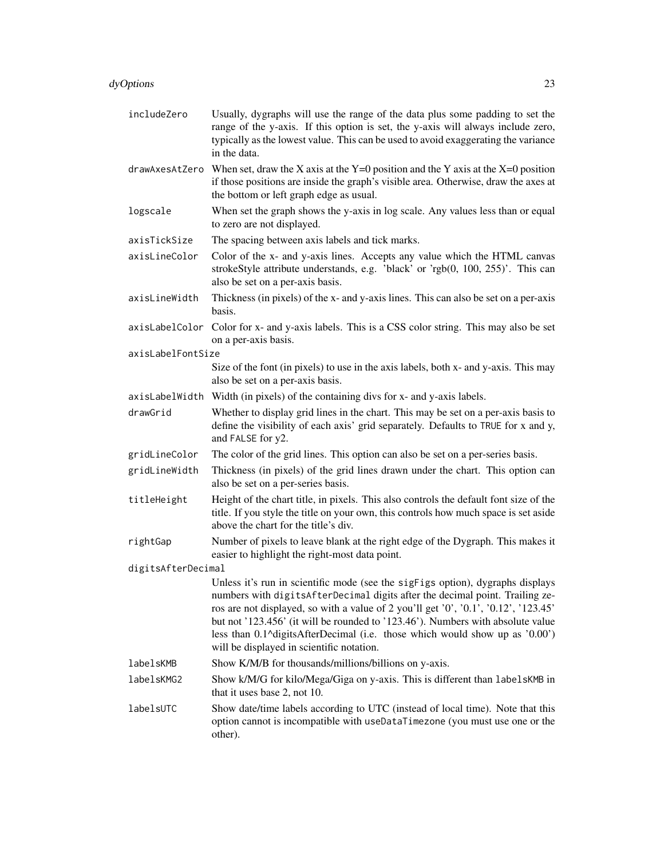| includeZero        | Usually, dygraphs will use the range of the data plus some padding to set the<br>range of the y-axis. If this option is set, the y-axis will always include zero,<br>typically as the lowest value. This can be used to avoid exaggerating the variance<br>in the data.                                                                                                                                                                                              |  |
|--------------------|----------------------------------------------------------------------------------------------------------------------------------------------------------------------------------------------------------------------------------------------------------------------------------------------------------------------------------------------------------------------------------------------------------------------------------------------------------------------|--|
|                    | drawAxesAtZero When set, draw the X axis at the $Y=0$ position and the Y axis at the X=0 position<br>if those positions are inside the graph's visible area. Otherwise, draw the axes at<br>the bottom or left graph edge as usual.                                                                                                                                                                                                                                  |  |
| logscale           | When set the graph shows the y-axis in log scale. Any values less than or equal<br>to zero are not displayed.                                                                                                                                                                                                                                                                                                                                                        |  |
| axisTickSize       | The spacing between axis labels and tick marks.                                                                                                                                                                                                                                                                                                                                                                                                                      |  |
| axisLineColor      | Color of the x- and y-axis lines. Accepts any value which the HTML canvas<br>strokeStyle attribute understands, e.g. 'black' or 'rgb(0, 100, 255)'. This can<br>also be set on a per-axis basis.                                                                                                                                                                                                                                                                     |  |
| axisLineWidth      | Thickness (in pixels) of the x- and y-axis lines. This can also be set on a per-axis<br>basis.                                                                                                                                                                                                                                                                                                                                                                       |  |
| axisLabelColor     | Color for x- and y-axis labels. This is a CSS color string. This may also be set<br>on a per-axis basis.                                                                                                                                                                                                                                                                                                                                                             |  |
| axisLabelFontSize  |                                                                                                                                                                                                                                                                                                                                                                                                                                                                      |  |
|                    | Size of the font (in pixels) to use in the axis labels, both x- and y-axis. This may<br>also be set on a per-axis basis.                                                                                                                                                                                                                                                                                                                                             |  |
|                    | axisLabelWidth Width (in pixels) of the containing divs for x- and y-axis labels.                                                                                                                                                                                                                                                                                                                                                                                    |  |
| drawGrid           | Whether to display grid lines in the chart. This may be set on a per-axis basis to<br>define the visibility of each axis' grid separately. Defaults to TRUE for x and y,<br>and FALSE for y2.                                                                                                                                                                                                                                                                        |  |
| gridLineColor      | The color of the grid lines. This option can also be set on a per-series basis.                                                                                                                                                                                                                                                                                                                                                                                      |  |
| gridLineWidth      | Thickness (in pixels) of the grid lines drawn under the chart. This option can<br>also be set on a per-series basis.                                                                                                                                                                                                                                                                                                                                                 |  |
| titleHeight        | Height of the chart title, in pixels. This also controls the default font size of the<br>title. If you style the title on your own, this controls how much space is set aside<br>above the chart for the title's div.                                                                                                                                                                                                                                                |  |
| rightGap           | Number of pixels to leave blank at the right edge of the Dygraph. This makes it<br>easier to highlight the right-most data point.                                                                                                                                                                                                                                                                                                                                    |  |
| digitsAfterDecimal |                                                                                                                                                                                                                                                                                                                                                                                                                                                                      |  |
|                    | Unless it's run in scientific mode (see the sigFigs option), dygraphs displays<br>numbers with digitsAfterDecimal digits after the decimal point. Trailing ze-<br>ros are not displayed, so with a value of 2 you'll get '0', '0.1', '0.12', '123.45'<br>but not '123.456' (it will be rounded to '123.46'). Numbers with absolute value<br>less than 0.1^digitsAfterDecimal (i.e. those which would show up as '0.00')<br>will be displayed in scientific notation. |  |
| labelsKMB          | Show K/M/B for thousands/millions/billions on y-axis.                                                                                                                                                                                                                                                                                                                                                                                                                |  |
| labelsKMG2         | Show k/M/G for kilo/Mega/Giga on y-axis. This is different than labelsKMB in<br>that it uses base 2, not 10.                                                                                                                                                                                                                                                                                                                                                         |  |
| labelsUTC          | Show date/time labels according to UTC (instead of local time). Note that this<br>option cannot is incompatible with useDataTimezone (you must use one or the<br>other).                                                                                                                                                                                                                                                                                             |  |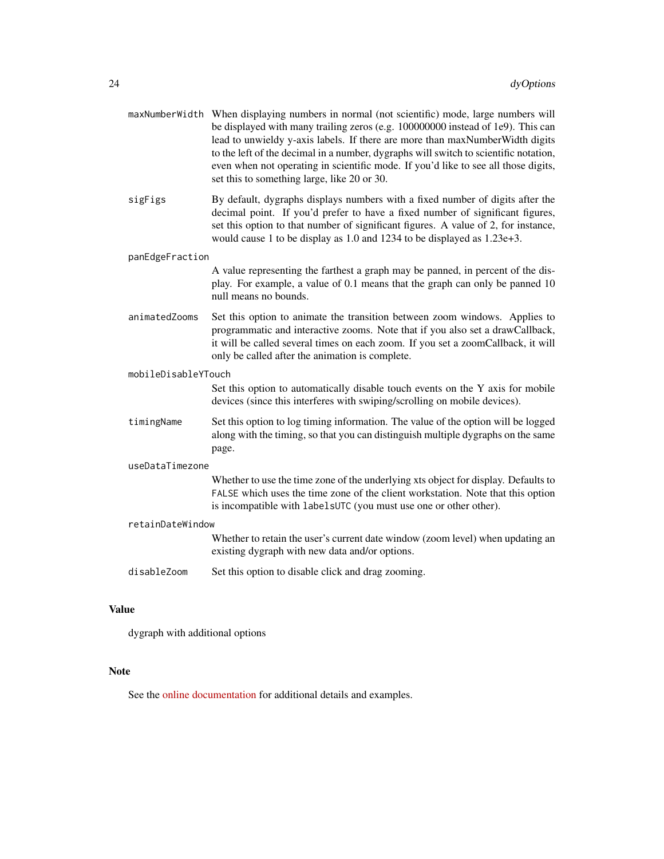|                     | maxNumberWidth When displaying numbers in normal (not scientific) mode, large numbers will<br>be displayed with many trailing zeros (e.g. 100000000 instead of 1e9). This can<br>lead to unwieldy y-axis labels. If there are more than maxNumberWidth digits<br>to the left of the decimal in a number, dygraphs will switch to scientific notation,<br>even when not operating in scientific mode. If you'd like to see all those digits,<br>set this to something large, like 20 or 30. |
|---------------------|--------------------------------------------------------------------------------------------------------------------------------------------------------------------------------------------------------------------------------------------------------------------------------------------------------------------------------------------------------------------------------------------------------------------------------------------------------------------------------------------|
|                     | By default, dygraphs displays numbers with a fixed number of digits after the<br>decimal point. If you'd prefer to have a fixed number of significant figures,<br>set this option to that number of significant figures. A value of 2, for instance,<br>would cause 1 to be display as 1.0 and 1234 to be displayed as 1.23e+3.                                                                                                                                                            |
| panEdgeFraction     |                                                                                                                                                                                                                                                                                                                                                                                                                                                                                            |
|                     | A value representing the farthest a graph may be panned, in percent of the dis-<br>play. For example, a value of 0.1 means that the graph can only be panned 10<br>null means no bounds.                                                                                                                                                                                                                                                                                                   |
|                     | Set this option to animate the transition between zoom windows. Applies to<br>programmatic and interactive zooms. Note that if you also set a drawCallback,<br>it will be called several times on each zoom. If you set a zoomCallback, it will<br>only be called after the animation is complete.                                                                                                                                                                                         |
| mobileDisableYTouch |                                                                                                                                                                                                                                                                                                                                                                                                                                                                                            |
|                     | Set this option to automatically disable touch events on the Y axis for mobile<br>devices (since this interferes with swiping/scrolling on mobile devices).                                                                                                                                                                                                                                                                                                                                |
|                     | Set this option to log timing information. The value of the option will be logged<br>along with the timing, so that you can distinguish multiple dygraphs on the same<br>page.                                                                                                                                                                                                                                                                                                             |
| useDataTimezone     |                                                                                                                                                                                                                                                                                                                                                                                                                                                                                            |
|                     | Whether to use the time zone of the underlying xts object for display. Defaults to<br>FALSE which uses the time zone of the client workstation. Note that this option<br>is incompatible with labelsUTC (you must use one or other other).                                                                                                                                                                                                                                                 |
| retainDateWindow    |                                                                                                                                                                                                                                                                                                                                                                                                                                                                                            |
|                     | Whether to retain the user's current date window (zoom level) when updating an<br>existing dygraph with new data and/or options.                                                                                                                                                                                                                                                                                                                                                           |
|                     | Set this option to disable click and drag zooming.                                                                                                                                                                                                                                                                                                                                                                                                                                         |
|                     | sigFigs<br>animatedZooms<br>timingName<br>disableZoom                                                                                                                                                                                                                                                                                                                                                                                                                                      |

# Value

dygraph with additional options

# Note

See the [online documentation](https://rstudio.github.io/dygraphs/) for additional details and examples.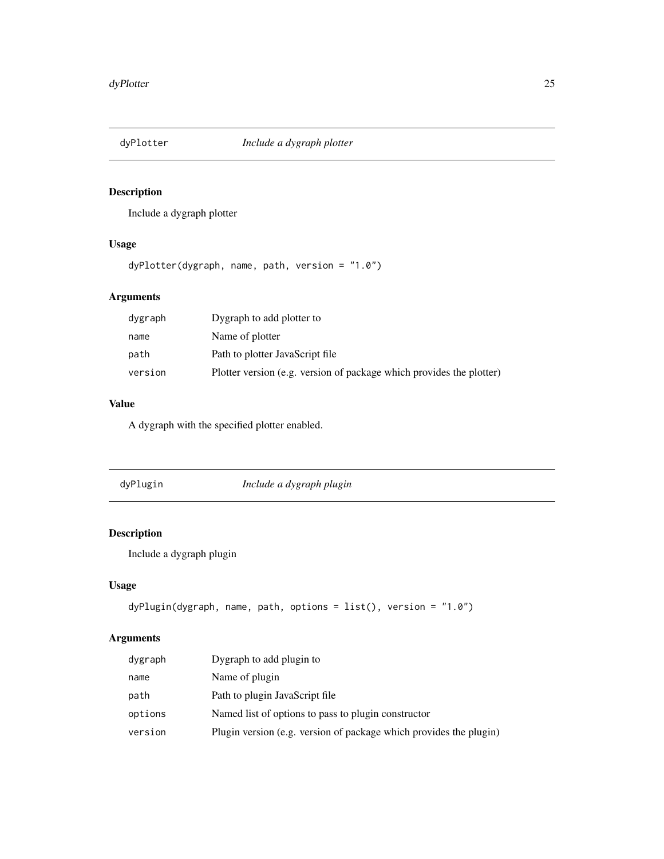<span id="page-24-1"></span><span id="page-24-0"></span>

Include a dygraph plotter

# Usage

dyPlotter(dygraph, name, path, version = "1.0")

# Arguments

| dygraph | Dygraph to add plotter to                                            |
|---------|----------------------------------------------------------------------|
| name    | Name of plotter                                                      |
| path    | Path to plotter JavaScript file                                      |
| version | Plotter version (e.g. version of package which provides the plotter) |

# Value

A dygraph with the specified plotter enabled.

| dyPlugin |
|----------|
|          |
|          |

dyPlugin *Include a dygraph plugin*

# Description

Include a dygraph plugin

# Usage

```
dyPlugin(dygraph, name, path, options = list(), version = "1.0")
```

| dygraph | Dygraph to add plugin to                                           |
|---------|--------------------------------------------------------------------|
| name    | Name of plugin                                                     |
| path    | Path to plugin JavaScript file                                     |
| options | Named list of options to pass to plugin constructor                |
| version | Plugin version (e.g. version of package which provides the plugin) |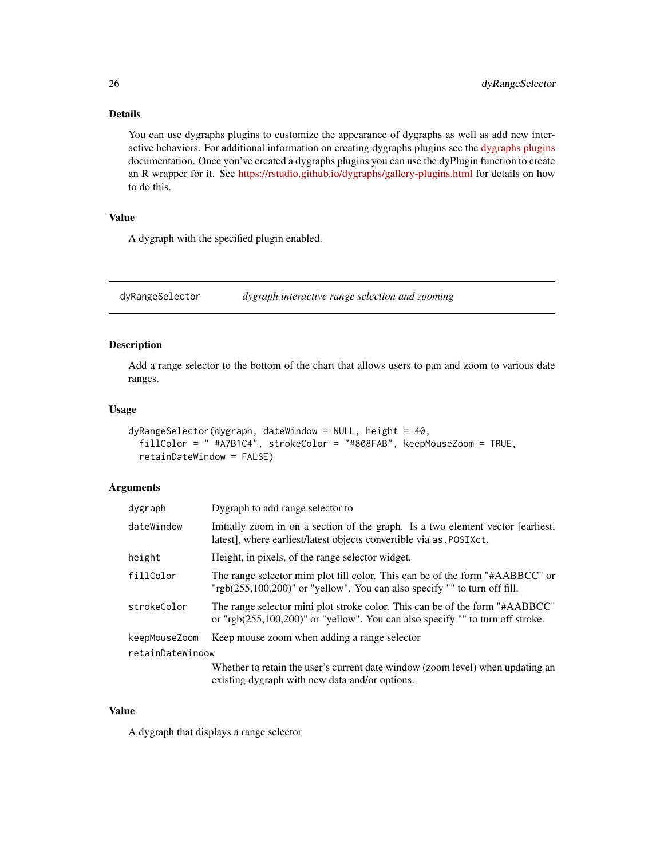# Details

You can use dygraphs plugins to customize the appearance of dygraphs as well as add new interactive behaviors. For additional information on creating dygraphs plugins see the [dygraphs plugins](https://github.com/danvk/dygraphs/tree/master/src/plugins) documentation. Once you've created a dygraphs plugins you can use the dyPlugin function to create an R wrapper for it. See <https://rstudio.github.io/dygraphs/gallery-plugins.html> for details on how to do this.

#### Value

A dygraph with the specified plugin enabled.

dyRangeSelector *dygraph interactive range selection and zooming*

#### Description

Add a range selector to the bottom of the chart that allows users to pan and zoom to various date ranges.

#### Usage

```
dyRangeSelector(dygraph, dateWindow = NULL, height = 40,
 fillColor = " #A7B1C4", strokeColor = "#808FAB", keepMouseZoom = TRUE,
  retainDateWindow = FALSE)
```
#### Arguments

| dygraph          | Dygraph to add range selector to                                                                                                                                   |
|------------------|--------------------------------------------------------------------------------------------------------------------------------------------------------------------|
| dateWindow       | Initially zoom in on a section of the graph. Is a two element vector [earliest,<br>latest], where earliest/latest objects convertible via as. POSIXct.             |
| height           | Height, in pixels, of the range selector widget.                                                                                                                   |
| fillColor        | The range selector mini plot fill color. This can be of the form "#AABBCC" or<br>"rgb $(255,100,200)$ " or "yellow". You can also specify "" to turn off fill.     |
| strokeColor      | The range selector mini plot stroke color. This can be of the form "#AABBCC"<br>or "rgb $(255,100,200)$ " or "yellow". You can also specify "" to turn off stroke. |
| keepMouseZoom    | Keep mouse zoom when adding a range selector                                                                                                                       |
| retainDateWindow |                                                                                                                                                                    |
|                  | Whether to retain the user's current date window (zoom level) when updating an                                                                                     |

existing dygraph with new data and/or options.

## Value

A dygraph that displays a range selector

<span id="page-25-0"></span>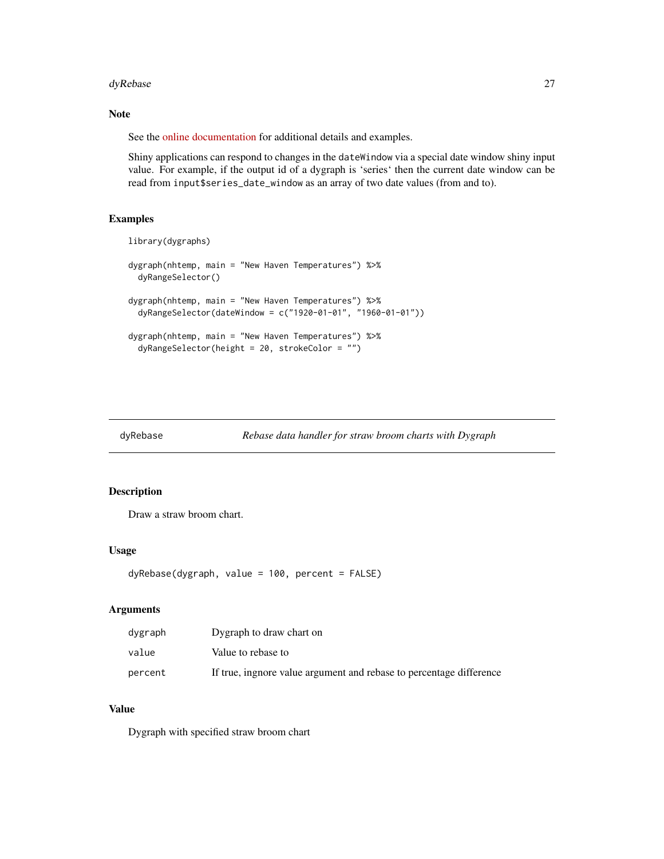#### <span id="page-26-0"></span>dyRebase 27

#### Note

See the [online documentation](https://rstudio.github.io/dygraphs/gallery-range-selector.html) for additional details and examples.

Shiny applications can respond to changes in the dateWindow via a special date window shiny input value. For example, if the output id of a dygraph is 'series' then the current date window can be read from input\$series\_date\_window as an array of two date values (from and to).

#### Examples

```
library(dygraphs)
dygraph(nhtemp, main = "New Haven Temperatures") %>%
  dyRangeSelector()
dygraph(nhtemp, main = "New Haven Temperatures") %>%
  dyRangeSelector(dateWindow = c("1920-01-01", "1960-01-01"))
dygraph(nhtemp, main = "New Haven Temperatures") %>%
  dyRangeSelector(height = 20, strokeColor = "")
```
dyRebase *Rebase data handler for straw broom charts with Dygraph*

#### Description

Draw a straw broom chart.

#### Usage

```
dyRebase(dygraph, value = 100, percent = FALSE)
```
#### Arguments

| dygraph | Dygraph to draw chart on                                            |
|---------|---------------------------------------------------------------------|
| value   | Value to rebase to                                                  |
| percent | If true, ingnore value argument and rebase to percentage difference |

# Value

Dygraph with specified straw broom chart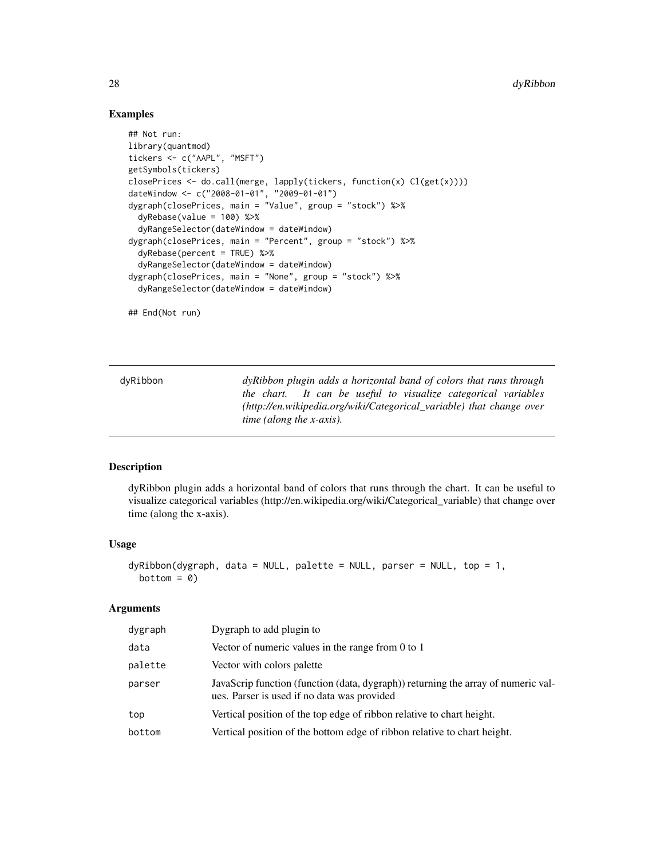#### Examples

```
## Not run:
library(quantmod)
tickers <- c("AAPL", "MSFT")
getSymbols(tickers)
closePrices <- do.call(merge, lapply(tickers, function(x) Cl(get(x))))
dateWindow <- c("2008-01-01", "2009-01-01")
dygraph(closePrices, main = "Value", group = "stock") %>%
  dyRebase(value = 100) %dyRangeSelector(dateWindow = dateWindow)
dygraph(closePrices, main = "Percent", group = "stock") %>%
  dyRebase(percent = TRUE) %>%
  dyRangeSelector(dateWindow = dateWindow)
dygraph(closePrices, main = "None", group = "stock") %>%
  dyRangeSelector(dateWindow = dateWindow)
## End(Not run)
```

| dyRibbon | dy Ribbon plugin adds a horizontal band of colors that runs through  |
|----------|----------------------------------------------------------------------|
|          | the chart. It can be useful to visualize categorical variables       |
|          | (http://en.wikipedia.org/wiki/Categorical_variable) that change over |
|          | <i>time (along the x-axis).</i>                                      |

#### Description

dyRibbon plugin adds a horizontal band of colors that runs through the chart. It can be useful to visualize categorical variables (http://en.wikipedia.org/wiki/Categorical\_variable) that change over time (along the x-axis).

#### Usage

```
dyRibbon(dygraph, data = NULL, platete = NULL, parser = NULL, top = 1,bottom = 0)
```

| dygraph | Dygraph to add plugin to                                                                                                         |
|---------|----------------------------------------------------------------------------------------------------------------------------------|
| data    | Vector of numeric values in the range from 0 to 1                                                                                |
| palette | Vector with colors palette                                                                                                       |
| parser  | JavaScrip function (function (data, dygraph)) returning the array of numeric val-<br>ues. Parser is used if no data was provided |
| top     | Vertical position of the top edge of ribbon relative to chart height.                                                            |
| bottom  | Vertical position of the bottom edge of ribbon relative to chart height.                                                         |

<span id="page-27-0"></span>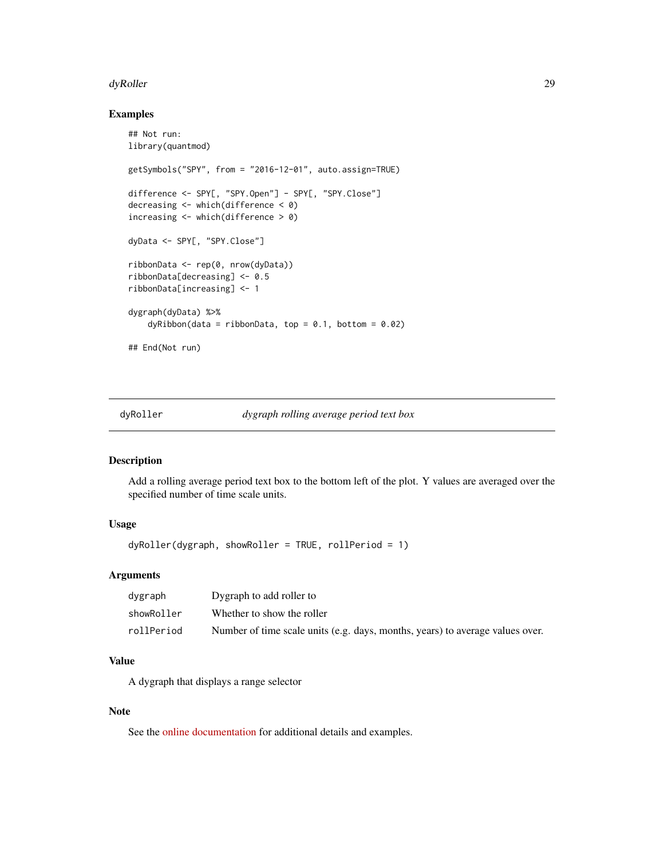#### <span id="page-28-0"></span>dyRoller 29 and 2012 and 2012 and 2012 and 2012 and 2012 and 2012 and 2012 and 2012 and 2012 and 201

#### Examples

```
## Not run:
library(quantmod)
getSymbols("SPY", from = "2016-12-01", auto.assign=TRUE)
difference <- SPY[, "SPY.Open"] - SPY[, "SPY.Close"]
decreasing <- which(difference < 0)
increasing <- which(difference > 0)
dyData <- SPY[, "SPY.Close"]
ribbonData <- rep(0, nrow(dyData))
ribbonData[decreasing] <- 0.5
ribbonData[increasing] <- 1
dygraph(dyData) %>%
    dyRibbon(data = ribbonData, top = 0.1, bottom = 0.02)## End(Not run)
```
#### dyRoller *dygraph rolling average period text box*

#### Description

Add a rolling average period text box to the bottom left of the plot. Y values are averaged over the specified number of time scale units.

# Usage

dyRoller(dygraph, showRoller = TRUE, rollPeriod = 1)

#### Arguments

| dvgraph    | Dygraph to add roller to                                                      |
|------------|-------------------------------------------------------------------------------|
| showRoller | Whether to show the roller                                                    |
| rollPeriod | Number of time scale units (e.g. days, months, years) to average values over. |

# Value

A dygraph that displays a range selector

# Note

See the [online documentation](https://rstudio.github.io/dygraphs/gallery-roll-periods.html) for additional details and examples.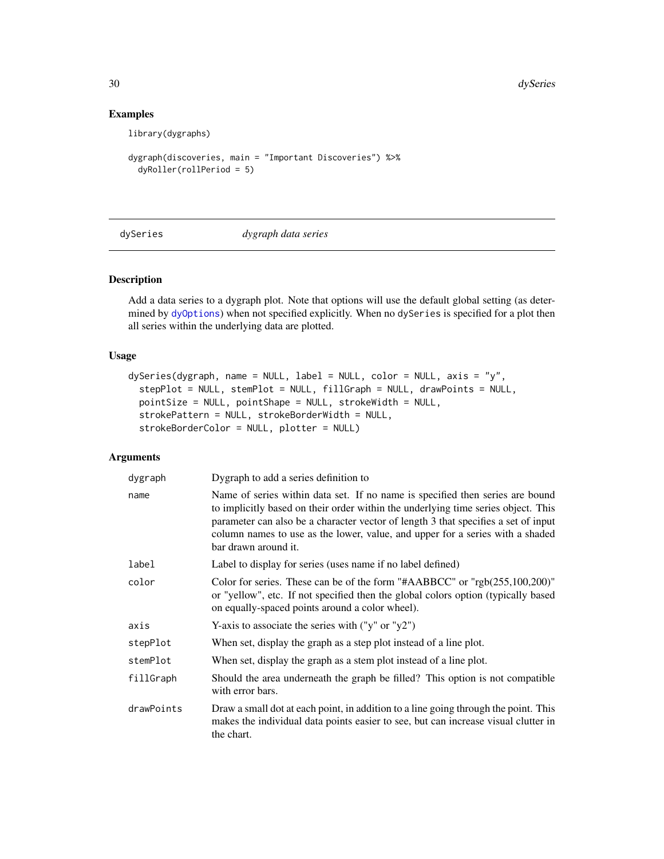# Examples

library(dygraphs)

```
dygraph(discoveries, main = "Important Discoveries") %>%
 dyRoller(rollPeriod = 5)
```
<span id="page-29-1"></span>

dySeries *dygraph data series*

# Description

Add a data series to a dygraph plot. Note that options will use the default global setting (as determined by [dyOptions](#page-20-1)) when not specified explicitly. When no dySeries is specified for a plot then all series within the underlying data are plotted.

#### Usage

```
dySeries(dygraph, name = NULL, label = NULL, color = NULL, axis = "y",
  stepPlot = NULL, stemPlot = NULL, fillGraph = NULL, drawPoints = NULL,
 pointSize = NULL, pointShape = NULL, strokeWidth = NULL,
  strokePattern = NULL, strokeBorderWidth = NULL,
  strokeBorderColor = NULL, plotter = NULL)
```

| dygraph    | Dygraph to add a series definition to                                                                                                                                                                                                                                                                                                                             |  |
|------------|-------------------------------------------------------------------------------------------------------------------------------------------------------------------------------------------------------------------------------------------------------------------------------------------------------------------------------------------------------------------|--|
| name       | Name of series within data set. If no name is specified then series are bound<br>to implicitly based on their order within the underlying time series object. This<br>parameter can also be a character vector of length 3 that specifies a set of input<br>column names to use as the lower, value, and upper for a series with a shaded<br>bar drawn around it. |  |
| label      | Label to display for series (uses name if no label defined)                                                                                                                                                                                                                                                                                                       |  |
| color      | Color for series. These can be of the form "#AABBCC" or "rgb(255,100,200)"<br>or "yellow", etc. If not specified then the global colors option (typically based<br>on equally-spaced points around a color wheel).                                                                                                                                                |  |
| axis       | Y-axis to associate the series with $("y" or "y2")$                                                                                                                                                                                                                                                                                                               |  |
| stepPlot   | When set, display the graph as a step plot instead of a line plot.                                                                                                                                                                                                                                                                                                |  |
| stemPlot   | When set, display the graph as a stem plot instead of a line plot.                                                                                                                                                                                                                                                                                                |  |
| fillGraph  | Should the area underneath the graph be filled? This option is not compatible<br>with error bars.                                                                                                                                                                                                                                                                 |  |
| drawPoints | Draw a small dot at each point, in addition to a line going through the point. This<br>makes the individual data points easier to see, but can increase visual clutter in<br>the chart.                                                                                                                                                                           |  |

<span id="page-29-0"></span>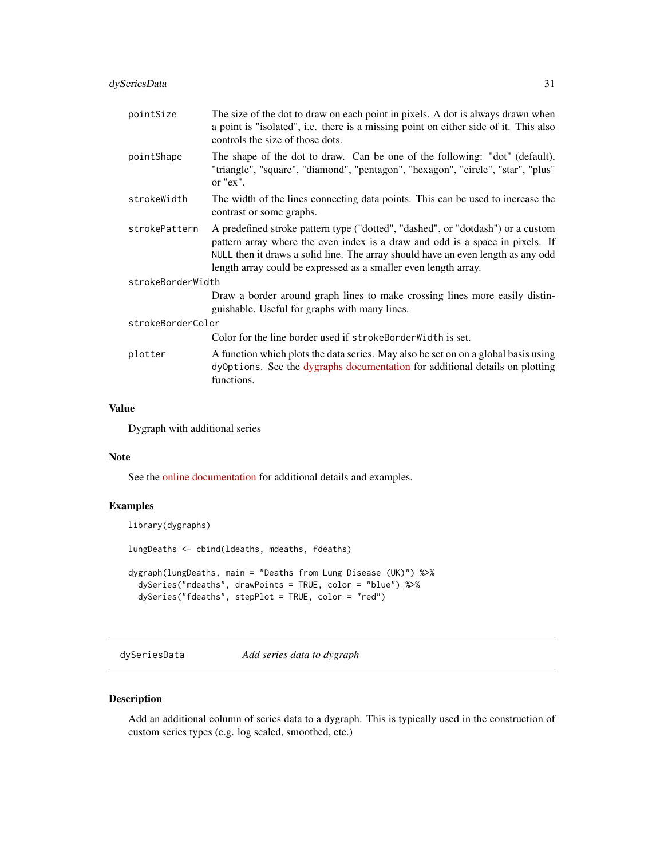<span id="page-30-0"></span>

| pointSize         | The size of the dot to draw on each point in pixels. A dot is always drawn when<br>a point is "isolated", i.e. there is a missing point on either side of it. This also<br>controls the size of those dots.                                                                                                             |  |
|-------------------|-------------------------------------------------------------------------------------------------------------------------------------------------------------------------------------------------------------------------------------------------------------------------------------------------------------------------|--|
| pointShape        | The shape of the dot to draw. Can be one of the following: "dot" (default),<br>"triangle", "square", "diamond", "pentagon", "hexagon", "circle", "star", "plus"<br>or " $ex$ ".                                                                                                                                         |  |
| strokeWidth       | The width of the lines connecting data points. This can be used to increase the<br>contrast or some graphs.                                                                                                                                                                                                             |  |
| strokePattern     | A predefined stroke pattern type ("dotted", "dashed", or "dotdash") or a custom<br>pattern array where the even index is a draw and odd is a space in pixels. If<br>NULL then it draws a solid line. The array should have an even length as any odd<br>length array could be expressed as a smaller even length array. |  |
| strokeBorderWidth |                                                                                                                                                                                                                                                                                                                         |  |
|                   | Draw a border around graph lines to make crossing lines more easily distin-<br>guishable. Useful for graphs with many lines.                                                                                                                                                                                            |  |
| strokeBorderColor |                                                                                                                                                                                                                                                                                                                         |  |
|                   | Color for the line border used if strokeBorderWidth is set.                                                                                                                                                                                                                                                             |  |
| plotter           | A function which plots the data series. May also be set on on a global basis using<br>dyOptions. See the dygraphs documentation for additional details on plotting<br>functions.                                                                                                                                        |  |

#### Value

Dygraph with additional series

# Note

See the [online documentation](https://rstudio.github.io/dygraphs/gallery-series-options.html) for additional details and examples.

#### Examples

library(dygraphs)

lungDeaths <- cbind(ldeaths, mdeaths, fdeaths)

```
dygraph(lungDeaths, main = "Deaths from Lung Disease (UK)") %>%
 dySeries("mdeaths", drawPoints = TRUE, color = "blue") %>%
 dySeries("fdeaths", stepPlot = TRUE, color = "red")
```
dySeriesData *Add series data to dygraph*

# Description

Add an additional column of series data to a dygraph. This is typically used in the construction of custom series types (e.g. log scaled, smoothed, etc.)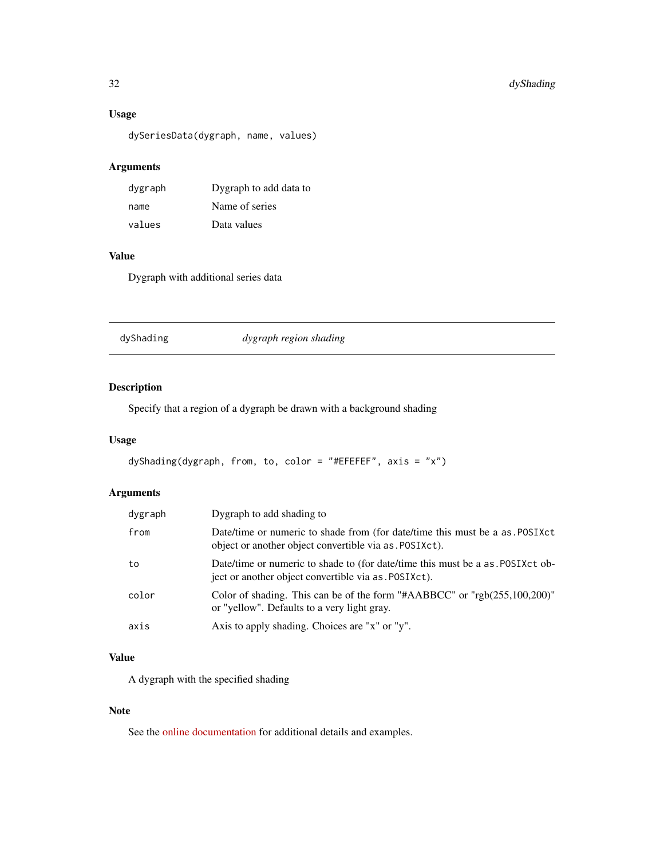# <span id="page-31-0"></span>Usage

dySeriesData(dygraph, name, values)

# Arguments

| dygraph | Dygraph to add data to |
|---------|------------------------|
| name    | Name of series         |
| values  | Data values            |

# Value

Dygraph with additional series data

dyShading *dygraph region shading*

# Description

Specify that a region of a dygraph be drawn with a background shading

#### Usage

```
dyShading(dygraph, from, to, color = "#EFEFEF", axis = "x")
```
# Arguments

| dygraph | Dygraph to add shading to                                                                                                                |
|---------|------------------------------------------------------------------------------------------------------------------------------------------|
| from    | Date/time or numeric to shade from (for date/time this must be a as. POSIXct)<br>object or another object convertible via as . POSIXct). |
| to      | Date/time or numeric to shade to (for date/time this must be a as POSIXct ob-<br>ject or another object convertible via as . POSIXct).   |
| color   | Color of shading. This can be of the form "#AABBCC" or " $rgb(255,100,200)$ "<br>or "yellow". Defaults to a very light gray.             |
| axis    | Axis to apply shading. Choices are "x" or "y".                                                                                           |

# Value

A dygraph with the specified shading

#### Note

See the [online documentation](https://rstudio.github.io/dygraphs/gallery-annotations.html) for additional details and examples.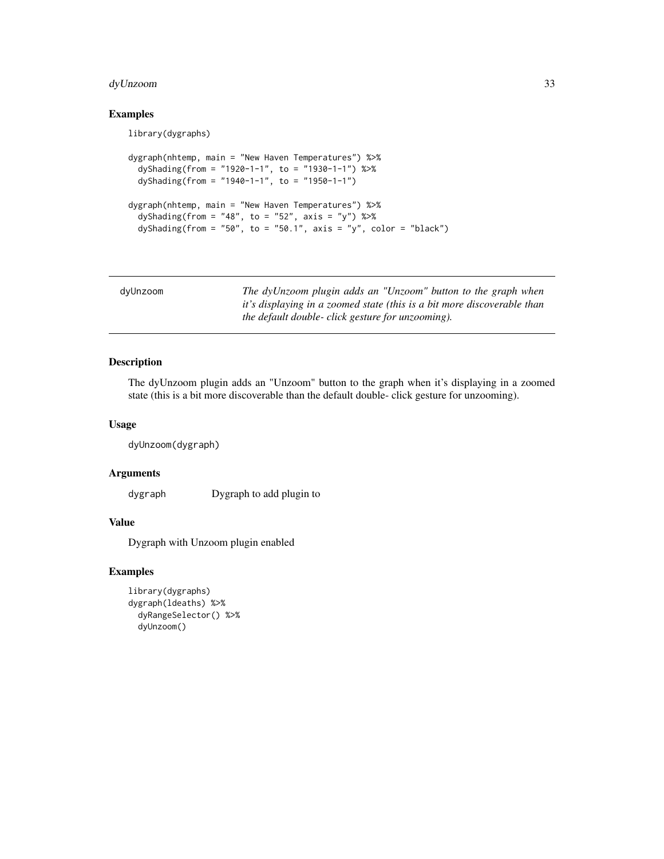# <span id="page-32-0"></span>dyUnzoom 33

# Examples

library(dygraphs)

```
dygraph(nhtemp, main = "New Haven Temperatures") %>%
 dyShading(from = "1920-1-1", to = "1930-1-1") %>%
 dyShading(from = "1940-1-1", to = "1950-1-1")
dygraph(nhtemp, main = "New Haven Temperatures") %>%
 dyShading(from = "48", to = "52", axis = "y") %>%
 dyShading(from = "50", to = "50.1", axis = "y", color = "black")
```

| dvUnzoom | The dyUnzoom plugin adds an "Unzoom" button to the graph when           |
|----------|-------------------------------------------------------------------------|
|          | it's displaying in a zoomed state (this is a bit more discoverable than |
|          | the default double- click gesture for unzooming).                       |

# Description

The dyUnzoom plugin adds an "Unzoom" button to the graph when it's displaying in a zoomed state (this is a bit more discoverable than the default double- click gesture for unzooming).

#### Usage

```
dyUnzoom(dygraph)
```
# Arguments

dygraph Dygraph to add plugin to

# Value

Dygraph with Unzoom plugin enabled

#### Examples

```
library(dygraphs)
dygraph(ldeaths) %>%
 dyRangeSelector() %>%
 dyUnzoom()
```